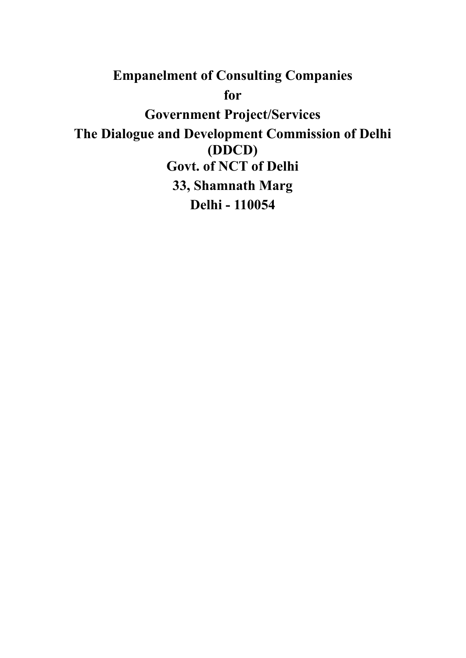**Empanelment of Consulting Companies for Government Project/Services The Dialogue and Development Commission of Delhi (DDCD) Govt. of NCT of Delhi 33, Shamnath Marg Delhi - 110054**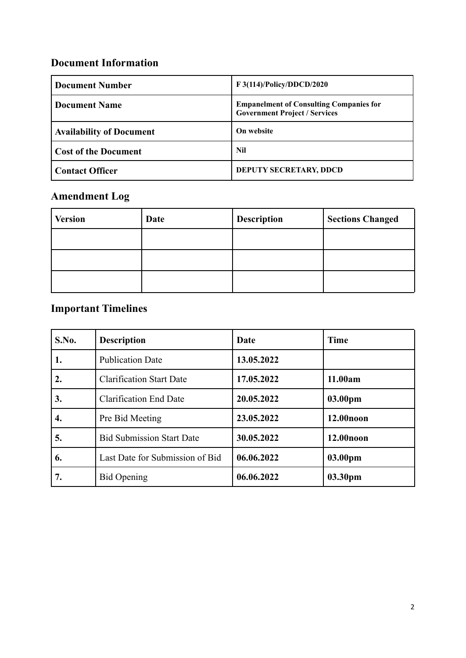# **Document Information**

| <b>Document Number</b>          | <b>F3(114)/Policy/DDCD/2020</b>                                                        |
|---------------------------------|----------------------------------------------------------------------------------------|
| <b>Document Name</b>            | <b>Empanelment of Consulting Companies for</b><br><b>Government Project / Services</b> |
| <b>Availability of Document</b> | On website                                                                             |
| <b>Cost of the Document</b>     | <b>Nil</b>                                                                             |
| <b>Contact Officer</b>          | <b>DEPUTY SECRETARY, DDCD</b>                                                          |

# **Amendment Log**

| <b>Version</b> | Date | <b>Description</b> | <b>Sections Changed</b> |
|----------------|------|--------------------|-------------------------|
|                |      |                    |                         |
|                |      |                    |                         |
|                |      |                    |                         |

# **Important Timelines**

| S.No.            | <b>Description</b>               | Date       | <b>Time</b>           |
|------------------|----------------------------------|------------|-----------------------|
| 1.               | <b>Publication Date</b>          | 13.05.2022 |                       |
| $\overline{2}$ . | <b>Clarification Start Date</b>  | 17.05.2022 | 11.00am               |
| 3.               | <b>Clarification End Date</b>    | 20.05.2022 | 03.00pm               |
| 4.               | Pre Bid Meeting                  | 23.05.2022 | 12.00 <sub>noon</sub> |
| 5.               | <b>Bid Submission Start Date</b> | 30.05.2022 | 12.00 <sub>noon</sub> |
| 6.               | Last Date for Submission of Bid  | 06.06.2022 | 03.00pm               |
| 7.               | <b>Bid Opening</b>               | 06.06.2022 | 03.30pm               |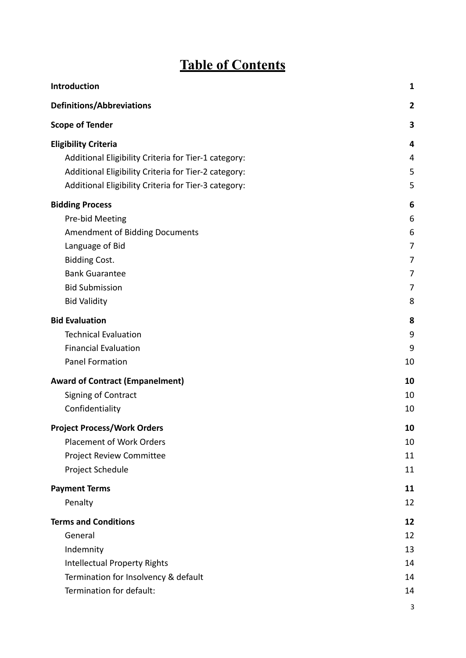# **Table of Contents**

| Introduction                                                                                                                                                   | $\mathbf{1}$                          |
|----------------------------------------------------------------------------------------------------------------------------------------------------------------|---------------------------------------|
| <b>Definitions/Abbreviations</b>                                                                                                                               | $\overline{2}$                        |
| <b>Scope of Tender</b>                                                                                                                                         | 3                                     |
| <b>Eligibility Criteria</b>                                                                                                                                    | 4                                     |
| Additional Eligibility Criteria for Tier-1 category:                                                                                                           | 4                                     |
| Additional Eligibility Criteria for Tier-2 category:                                                                                                           | 5                                     |
| Additional Eligibility Criteria for Tier-3 category:                                                                                                           | 5                                     |
| <b>Bidding Process</b>                                                                                                                                         | 6                                     |
| Pre-bid Meeting                                                                                                                                                | 6                                     |
| <b>Amendment of Bidding Documents</b>                                                                                                                          | 6                                     |
| Language of Bid                                                                                                                                                | 7                                     |
| <b>Bidding Cost.</b>                                                                                                                                           | 7                                     |
| <b>Bank Guarantee</b>                                                                                                                                          | 7                                     |
| <b>Bid Submission</b>                                                                                                                                          | 7                                     |
| <b>Bid Validity</b>                                                                                                                                            | 8                                     |
| <b>Bid Evaluation</b>                                                                                                                                          | 8                                     |
| <b>Technical Evaluation</b>                                                                                                                                    | 9                                     |
| <b>Financial Evaluation</b>                                                                                                                                    | 9                                     |
| <b>Panel Formation</b>                                                                                                                                         | 10                                    |
| <b>Award of Contract (Empanelment)</b>                                                                                                                         | 10                                    |
| Signing of Contract                                                                                                                                            | 10                                    |
| Confidentiality                                                                                                                                                | 10                                    |
| <b>Project Process/Work Orders</b>                                                                                                                             | 10                                    |
| <b>Placement of Work Orders</b>                                                                                                                                | 10                                    |
| Project Review Committee                                                                                                                                       | 11                                    |
| Project Schedule                                                                                                                                               | 11                                    |
| <b>Payment Terms</b>                                                                                                                                           | 11                                    |
| Penalty                                                                                                                                                        | 12                                    |
| <b>Terms and Conditions</b><br>General<br>Indemnity<br><b>Intellectual Property Rights</b><br>Termination for Insolvency & default<br>Termination for default: | 12<br>12<br>13<br>14<br>14<br>14<br>3 |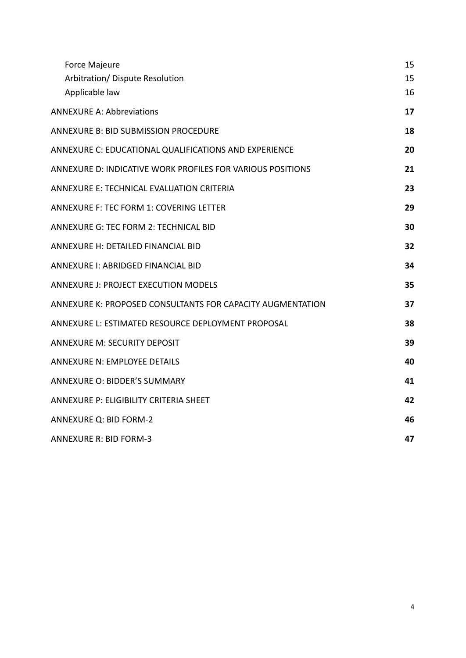| Force Majeure<br>Arbitration/ Dispute Resolution<br>Applicable law | 15<br>15<br>16 |
|--------------------------------------------------------------------|----------------|
| <b>ANNEXURE A: Abbreviations</b>                                   | 17             |
| <b>ANNEXURE B: BID SUBMISSION PROCEDURE</b>                        | 18             |
| ANNEXURE C: EDUCATIONAL QUALIFICATIONS AND EXPERIENCE              | 20             |
| ANNEXURE D: INDICATIVE WORK PROFILES FOR VARIOUS POSITIONS         | 21             |
| ANNEXURE E: TECHNICAL EVALUATION CRITERIA                          | 23             |
| <b>ANNEXURE F: TEC FORM 1: COVERING LETTER</b>                     | 29             |
| <b>ANNEXURE G: TEC FORM 2: TECHNICAL BID</b>                       | 30             |
| ANNEXURE H: DETAILED FINANCIAL BID                                 | 32             |
| <b>ANNEXURE I: ABRIDGED FINANCIAL BID</b>                          | 34             |
| ANNEXURE J: PROJECT EXECUTION MODELS                               | 35             |
| ANNEXURE K: PROPOSED CONSULTANTS FOR CAPACITY AUGMENTATION         | 37             |
| ANNEXURE L: ESTIMATED RESOURCE DEPLOYMENT PROPOSAL                 | 38             |
| <b>ANNEXURE M: SECURITY DEPOSIT</b>                                | 39             |
| <b>ANNEXURE N: EMPLOYEE DETAILS</b>                                | 40             |
| <b>ANNEXURE O: BIDDER'S SUMMARY</b>                                | 41             |
| ANNEXURE P: ELIGIBILITY CRITERIA SHEET                             | 42             |
| <b>ANNEXURE Q: BID FORM-2</b>                                      | 46             |
| <b>ANNEXURE R: BID FORM-3</b>                                      | 47             |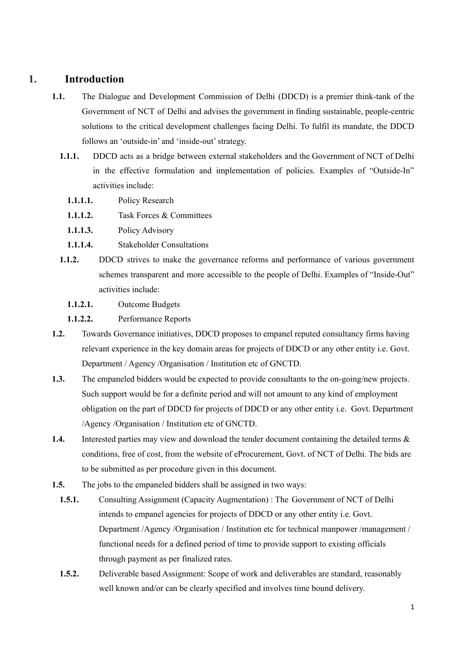### <span id="page-4-0"></span>**1. Introduction**

- **1.1.** The Dialogue and Development Commission of Delhi (DDCD) is a premier think-tank of the Government of NCT of Delhi and advises the government in finding sustainable, people-centric solutions to the critical development challenges facing Delhi. To fulfil its mandate, the DDCD follows an 'outside-in' and 'inside-out'strategy.
	- **1.1.1.** DDCD acts as a bridge between external stakeholders and the Government of NCT of Delhi in the effective formulation and implementation of policies. Examples of "Outside-In" activities include:
		- **1.1.1.1.** Policy Research
		- **1.1.1.2.** Task Forces & Committees
		- **1.1.1.3.** Policy Advisory
		- **1.1.1.4.** Stakeholder Consultations
	- **1.1.2.** DDCD strives to make the governance reforms and performance of various government schemes transparent and more accessible to the people of Delhi. Examples of "Inside-Out" activities include:
		- **1.1.2.1.** Outcome Budgets
		- **1.1.2.2.** Performance Reports
- **1.2.** Towards Governance initiatives, DDCD proposes to empanel reputed consultancy firms having relevant experience in the key domain areas for projects of DDCD or any other entity i.e. Govt. Department / Agency /Organisation / Institution etc of GNCTD.
- **1.3.** The empaneled bidders would be expected to provide consultants to the on-going/new projects. Such support would be for a definite period and will not amount to any kind of employment obligation on the part of DDCD for projects of DDCD or any other entity i.e. Govt. Department /Agency /Organisation / Institution etc of GNCTD.
- **1.4.** Interested parties may view and download the tender document containing the detailed terms  $\&$ conditions, free of cost, from the website of eProcurement, Govt. of NCT of Delhi. The bids are to be submitted as per procedure given in this document.
- **1.5.** The jobs to the empaneled bidders shall be assigned in two ways:
	- **1.5.1.** Consulting Assignment (Capacity Augmentation) : The Government of NCT of Delhi intends to empanel agencies for projects of DDCD or any other entity i.e. Govt. Department /Agency /Organisation / Institution etc for technical manpower /management / functional needs for a defined period of time to provide support to existing officials through payment as per finalized rates.
	- **1.5.2.** Deliverable based Assignment: Scope of work and deliverables are standard, reasonably well known and/or can be clearly specified and involves time bound delivery.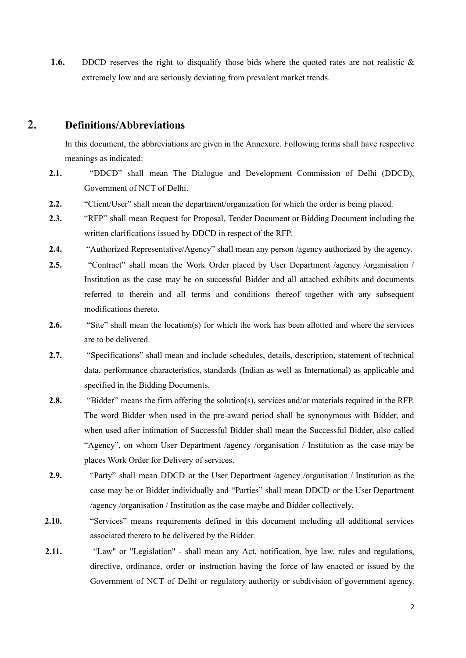**1.6.** DDCD reserves the right to disqualify those bids where the quoted rates are not realistic & extremely low and are seriously deviating from prevalent market trends.

### <span id="page-5-0"></span>**2. Definitions/Abbreviations**

In this document, the abbreviations are given in the Annexure. Following terms shall have respective meanings as indicated:

- **2.1.** "DDCD" shall mean The Dialogue and Development Commission of Delhi (DDCD), Government of NCT of Delhi.
- **2.2.** "Client/User" shall mean the department/organization for which the order is being placed.
- **2.3.** "RFP" shall mean Request for Proposal, Tender Document or Bidding Document including the written clarifications issued by DDCD in respect of the RFP.
- **2.4.** "Authorized Representative/Agency" shall mean any person /agency authorized by the agency.
- **2.5.** "Contract" shall mean the Work Order placed by User Department /agency /organisation / Institution as the case may be on successful Bidder and all attached exhibits and documents referred to therein and all terms and conditions thereof together with any subsequent modifications thereto.
- **2.6.** "Site" shall mean the location(s) for which the work has been allotted and where the services are to be delivered.
- **2.7.** "Specifications" shall mean and include schedules, details, description, statement of technical data, performance characteristics, standards (Indian as well as International) as applicable and specified in the Bidding Documents.
- **2.8.** "Bidder" means the firm offering the solution(s), services and/or materials required in the RFP. The word Bidder when used in the pre-award period shall be synonymous with Bidder, and when used after intimation of Successful Bidder shall mean the Successful Bidder, also called "Agency", on whom User Department /agency /organisation / Institution as the case may be places Work Order for Delivery of services.
- **2.9.** "Party" shall mean DDCD or the User Department /agency /organisation / Institution as the case may be or Bidder individually and "Parties" shall mean DDCD or the User Department /agency /organisation / Institution as the case maybe and Bidder collectively.
- **2.10.** "Services" means requirements defined in this document including all additional services associated thereto to be delivered by the Bidder.
- **2.11.** "Law" or "Legislation" shall mean any Act, notification, bye law, rules and regulations, directive, ordinance, order or instruction having the force of law enacted or issued by the Government of NCT of Delhi or regulatory authority or subdivision of government agency.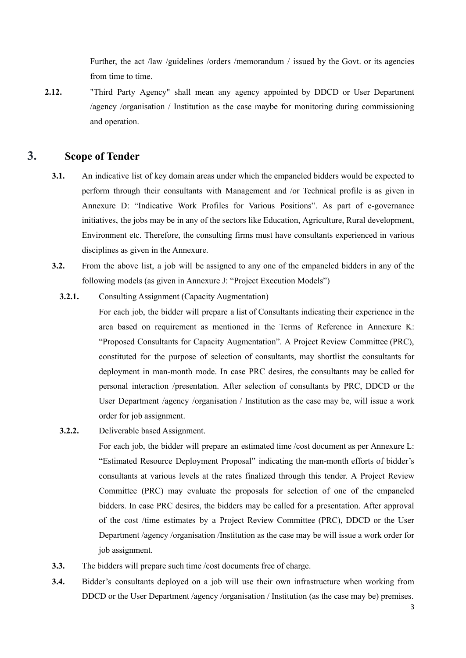Further, the act /law /guidelines /orders /memorandum / issued by the Govt. or its agencies from time to time.

**2.12.** "Third Party Agency" shall mean any agency appointed by DDCD or User Department /agency /organisation / Institution as the case maybe for monitoring during commissioning and operation.

### <span id="page-6-0"></span>**3. Scope of Tender**

- **3.1.** An indicative list of key domain areas under which the empaneled bidders would be expected to perform through their consultants with Management and /or Technical profile is as given in Annexure D: "Indicative Work Profiles for Various Positions". As part of e-governance initiatives, the jobs may be in any of the sectors like Education, Agriculture, Rural development, Environment etc. Therefore, the consulting firms must have consultants experienced in various disciplines as given in the Annexure.
- **3.2.** From the above list, a job will be assigned to any one of the empaneled bidders in any of the following models (as given in Annexure J: "Project Execution Models")
- **3.2.1.** Consulting Assignment (Capacity Augmentation)
	- For each job, the bidder will prepare a list of Consultants indicating their experience in the area based on requirement as mentioned in the Terms of Reference in Annexure K: "Proposed Consultants for Capacity Augmentation". A Project Review Committee (PRC), constituted for the purpose of selection of consultants, may shortlist the consultants for deployment in man-month mode. In case PRC desires, the consultants may be called for personal interaction /presentation. After selection of consultants by PRC, DDCD or the User Department /agency /organisation / Institution as the case may be, will issue a work order for job assignment.
- **3.2.2.** Deliverable based Assignment.

For each job, the bidder will prepare an estimated time /cost document as per Annexure L: "Estimated Resource Deployment Proposal" indicating the man-month efforts of bidder's consultants at various levels at the rates finalized through this tender. A Project Review Committee (PRC) may evaluate the proposals for selection of one of the empaneled bidders. In case PRC desires, the bidders may be called for a presentation. After approval of the cost /time estimates by a Project Review Committee (PRC), DDCD or the User Department /agency /organisation /Institution as the case may be will issue a work order for job assignment.

- **3.3.** The bidders will prepare such time /cost documents free of charge.
- **3.4.** Bidder's consultants deployed on a job will use their own infrastructure when working from DDCD or the User Department /agency /organisation / Institution (as the case may be) premises.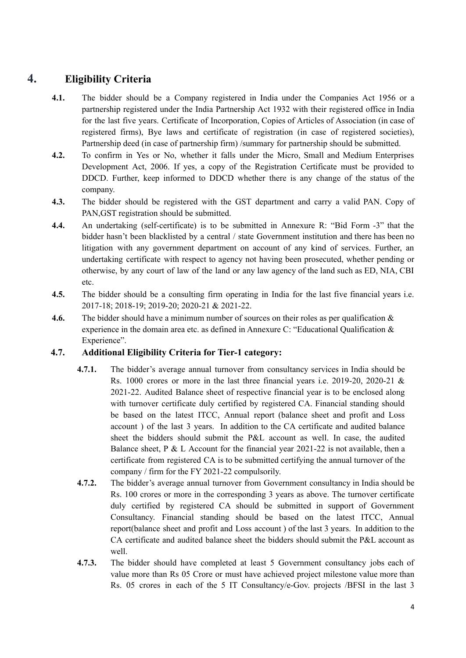# <span id="page-7-0"></span>**4. Eligibility Criteria**

- **4.1.** The bidder should be a Company registered in India under the Companies Act 1956 or a partnership registered under the India Partnership Act 1932 with their registered office in India for the last five years. Certificate of Incorporation, Copies of Articles of Association (in case of registered firms), Bye laws and certificate of registration (in case of registered societies), Partnership deed (in case of partnership firm) /summary for partnership should be submitted.
- **4.2.** To confirm in Yes or No, whether it falls under the Micro, Small and Medium Enterprises Development Act, 2006. If yes, a copy of the Registration Certificate must be provided to DDCD. Further, keep informed to DDCD whether there is any change of the status of the company.
- **4.3.** The bidder should be registered with the GST department and carry a valid PAN. Copy of PAN,GST registration should be submitted.
- **4.4.** An undertaking (self-certificate) is to be submitted in Annexure R: "Bid Form -3" that the bidder hasn't been blacklisted by a central / state Government institution and there has been no litigation with any government department on account of any kind of services. Further, an undertaking certificate with respect to agency not having been prosecuted, whether pending or otherwise, by any court of law of the land or any law agency of the land such as ED, NIA, CBI etc.
- **4.5.** The bidder should be a consulting firm operating in India for the last five financial years i.e. 2017-18; 2018-19; 2019-20; 2020-21 & 2021-22.
- **4.6.** The bidder should have a minimum number of sources on their roles as per qualification & experience in the domain area etc. as defined in Annexure C: "Educational Qualification & Experience".

### <span id="page-7-1"></span>**4.7. Additional Eligibility Criteria for Tier-1 category:**

- **4.7.1.** The bidder's average annual turnover from consultancy services in India should be Rs. 1000 crores or more in the last three financial years i.e. 2019-20, 2020-21 & 2021-22. Audited Balance sheet of respective financial year is to be enclosed along with turnover certificate duly certified by registered CA. Financial standing should be based on the latest ITCC, Annual report (balance sheet and profit and Loss account ) of the last 3 years. In addition to the CA certificate and audited balance sheet the bidders should submit the P&L account as well. In case, the audited Balance sheet,  $P \& L$  Account for the financial year 2021-22 is not available, then a certificate from registered CA is to be submitted certifying the annual turnover of the company / firm for the FY 2021-22 compulsorily.
- **4.7.2.** The bidder's average annual turnover from Government consultancy in India should be Rs. 100 crores or more in the corresponding 3 years as above. The turnover certificate duly certified by registered CA should be submitted in support of Government Consultancy. Financial standing should be based on the latest ITCC, Annual report(balance sheet and profit and Loss account ) of the last 3 years. In addition to the CA certificate and audited balance sheet the bidders should submit the P&L account as well.
- **4.7.3.** The bidder should have completed at least 5 Government consultancy jobs each of value more than Rs 05 Crore or must have achieved project milestone value more than Rs. 05 crores in each of the 5 IT Consultancy/e-Gov. projects /BFSI in the last 3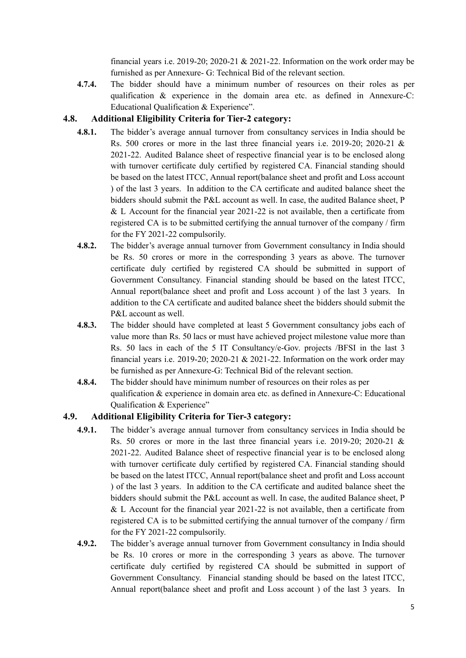financial years i.e. 2019-20; 2020-21  $\&$  2021-22. Information on the work order may be furnished as per Annexure- G: Technical Bid of the relevant section.

**4.7.4.** The bidder should have a minimum number of resources on their roles as per qualification & experience in the domain area etc. as defined in Annexure-C: Educational Qualification & Experience".

#### <span id="page-8-0"></span>**4.8. Additional Eligibility Criteria for Tier-2 category:**

- **4.8.1.** The bidder's average annual turnover from consultancy services in India should be Rs. 500 crores or more in the last three financial years i.e. 2019-20; 2020-21 & 2021-22. Audited Balance sheet of respective financial year is to be enclosed along with turnover certificate duly certified by registered CA. Financial standing should be based on the latest ITCC, Annual report(balance sheet and profit and Loss account ) of the last 3 years. In addition to the CA certificate and audited balance sheet the bidders should submit the P&L account as well. In case, the audited Balance sheet, P & L Account for the financial year 2021-22 is not available, then a certificate from registered CA is to be submitted certifying the annual turnover of the company / firm for the FY 2021-22 compulsorily.
- **4.8.2.** The bidder's average annual turnover from Government consultancy in India should be Rs. 50 crores or more in the corresponding 3 years as above. The turnover certificate duly certified by registered CA should be submitted in support of Government Consultancy. Financial standing should be based on the latest ITCC, Annual report(balance sheet and profit and Loss account ) of the last 3 years. In addition to the CA certificate and audited balance sheet the bidders should submit the P&L account as well.
- **4.8.3.** The bidder should have completed at least 5 Government consultancy jobs each of value more than Rs. 50 lacs or must have achieved project milestone value more than Rs. 50 lacs in each of the 5 IT Consultancy/e-Gov. projects /BFSI in the last 3 financial years i.e. 2019-20; 2020-21 & 2021-22. Information on the work order may be furnished as per Annexure-G: Technical Bid of the relevant section.
- **4.8.4.** The bidder should have minimum number of resources on their roles as per qualification & experience in domain area etc. as defined in Annexure-C: Educational Qualification & Experience"

### <span id="page-8-1"></span>**4.9. Additional Eligibility Criteria for Tier-3 category:**

- **4.9.1.** The bidder's average annual turnover from consultancy services in India should be Rs. 50 crores or more in the last three financial years i.e. 2019-20; 2020-21 & 2021-22. Audited Balance sheet of respective financial year is to be enclosed along with turnover certificate duly certified by registered CA. Financial standing should be based on the latest ITCC, Annual report(balance sheet and profit and Loss account ) of the last 3 years. In addition to the CA certificate and audited balance sheet the bidders should submit the P&L account as well. In case, the audited Balance sheet, P & L Account for the financial year 2021-22 is not available, then a certificate from registered CA is to be submitted certifying the annual turnover of the company / firm for the FY 2021-22 compulsorily.
- **4.9.2.** The bidder's average annual turnover from Government consultancy in India should be Rs. 10 crores or more in the corresponding 3 years as above. The turnover certificate duly certified by registered CA should be submitted in support of Government Consultancy. Financial standing should be based on the latest ITCC, Annual report(balance sheet and profit and Loss account ) of the last 3 years. In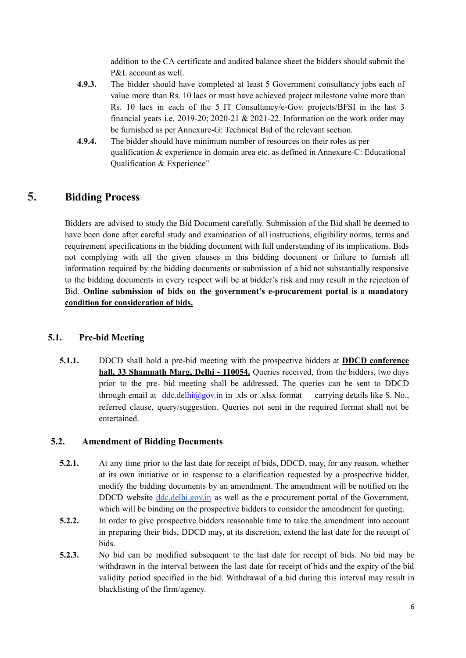addition to the CA certificate and audited balance sheet the bidders should submit the P&L account as well.

- **4.9.3.** The bidder should have completed at least 5 Government consultancy jobs each of value more than Rs. 10 lacs or must have achieved project milestone value more than Rs. 10 lacs in each of the 5 IT Consultancy/e-Gov. projects/BFSI in the last 3 financial years i.e. 2019-20; 2020-21  $\&$  2021-22. Information on the work order may be furnished as per Annexure-G: Technical Bid of the relevant section.
- **4.9.4.** The bidder should have minimum number of resources on their roles as per qualification & experience in domain area etc. as defined in Annexure-C: Educational Qualification & Experience"

### <span id="page-9-0"></span>**5. Bidding Process**

Bidders are advised to study the Bid Document carefully. Submission of the Bid shall be deemed to have been done after careful study and examination of all instructions, eligibility norms, terms and requirement specifications in the bidding document with full understanding of its implications. Bids not complying with all the given clauses in this bidding document or failure to furnish all information required by the bidding documents or submission of a bid not substantially responsive to the bidding documents in every respect will be at bidder's risk and may result in the rejection of Bid. **Online submission of bids on the government's e-procurement portal is a mandatory condition for consideration of bids.**

### <span id="page-9-1"></span>**5.1. Pre-bid Meeting**

**5.1.1.** DDCD shall hold a pre-bid meeting with the prospective bidders at **DDCD conference hall, 33 Shamnath Marg, Delhi - 110054.** Queries received, from the bidders, two days prior to the pre- bid meeting shall be addressed. The queries can be sent to DDCD through email at  $\frac{ddc \cdot \text{delhi}(Qgov \cdot \text{in})}{dqgov \cdot \text{in}}$  in .xls or .xlsx format carrying details like S. No., referred clause, query/suggestion. Queries not sent in the required format shall not be entertained.

### <span id="page-9-2"></span>**5.2. Amendment of Bidding Documents**

- **5.2.1.** At any time prior to the last date for receipt of bids, DDCD, may, for any reason, whether at its own initiative or in response to a clarification requested by a prospective bidder, modify the bidding documents by an amendment. The amendment will be notified on the DDCD website <u>[ddc.delhi.gov.in](http://ddc.delhi.gov.in)</u> as well as the e procurement portal of the Government, which will be binding on the prospective bidders to consider the amendment for quoting.
- **5.2.2.** In order to give prospective bidders reasonable time to take the amendment into account in preparing their bids, DDCD may, at its discretion, extend the last date for the receipt of bids.
- **5.2.3.** No bid can be modified subsequent to the last date for receipt of bids. No bid may be withdrawn in the interval between the last date for receipt of bids and the expiry of the bid validity period specified in the bid. Withdrawal of a bid during this interval may result in blacklisting of the firm/agency.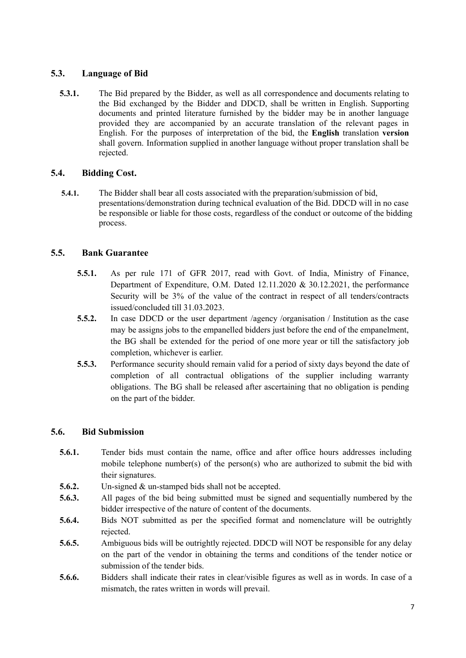### <span id="page-10-0"></span>**5.3. Language of Bid**

**5.3.1.** The Bid prepared by the Bidder, as well as all correspondence and documents relating to the Bid exchanged by the Bidder and DDCD, shall be written in English. Supporting documents and printed literature furnished by the bidder may be in another language provided they are accompanied by an accurate translation of the relevant pages in English. For the purposes of interpretation of the bid, the **English** translation **version** shall govern. Information supplied in another language without proper translation shall be rejected.

### <span id="page-10-1"></span>**5.4. Bidding Cost.**

**5.4.1.** The Bidder shall bear all costs associated with the preparation/submission of bid, presentations/demonstration during technical evaluation of the Bid. DDCD will in no case be responsible or liable for those costs, regardless of the conduct or outcome of the bidding process.

### <span id="page-10-2"></span>**5.5. Bank Guarantee**

- **5.5.1.** As per rule 171 of GFR 2017, read with Govt. of India, Ministry of Finance, Department of Expenditure, O.M. Dated 12.11.2020 & 30.12.2021, the performance Security will be 3% of the value of the contract in respect of all tenders/contracts issued/concluded till 31.03.2023.
- **5.5.2.** In case DDCD or the user department /agency /organisation / Institution as the case may be assigns jobs to the empanelled bidders just before the end of the empanelment, the BG shall be extended for the period of one more year or till the satisfactory job completion, whichever is earlier.
- **5.5.3.** Performance security should remain valid for a period of sixty days beyond the date of completion of all contractual obligations of the supplier including warranty obligations. The BG shall be released after ascertaining that no obligation is pending on the part of the bidder.

### <span id="page-10-3"></span>**5.6. Bid Submission**

- **5.6.1.** Tender bids must contain the name, office and after office hours addresses including mobile telephone number(s) of the person(s) who are authorized to submit the bid with their signatures.
- **5.6.2.** Un-signed & un-stamped bids shall not be accepted.
- **5.6.3.** All pages of the bid being submitted must be signed and sequentially numbered by the bidder irrespective of the nature of content of the documents.
- **5.6.4.** Bids NOT submitted as per the specified format and nomenclature will be outrightly rejected.
- **5.6.5.** Ambiguous bids will be outrightly rejected. DDCD will NOT be responsible for any delay on the part of the vendor in obtaining the terms and conditions of the tender notice or submission of the tender bids.
- **5.6.6.** Bidders shall indicate their rates in clear/visible figures as well as in words. In case of a mismatch, the rates written in words will prevail.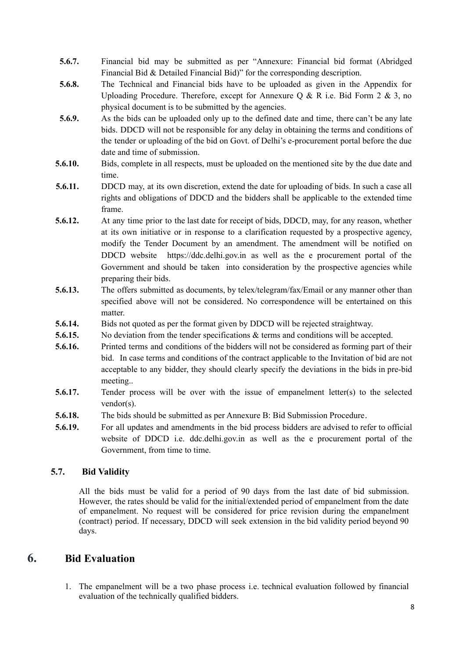- **5.6.7.** Financial bid may be submitted as per "Annexure: Financial bid format (Abridged Financial Bid & Detailed Financial Bid)" for the corresponding description.
- **5.6.8.** The Technical and Financial bids have to be uploaded as given in the Appendix for Uploading Procedure. Therefore, except for Annexure Q & R i.e. Bid Form  $2 \& 3$ , no physical document is to be submitted by the agencies.
- **5.6.9.** As the bids can be uploaded only up to the defined date and time, there can't be any late bids. DDCD will not be responsible for any delay in obtaining the terms and conditions of the tender or uploading of the bid on Govt. of Delhi's e-procurement portal before the due date and time of submission.
- **5.6.10.** Bids, complete in all respects, must be uploaded on the mentioned site by the due date and time.
- **5.6.11.** DDCD may, at its own discretion, extend the date for uploading of bids. In such a case all rights and obligations of DDCD and the bidders shall be applicable to the extended time frame.
- **5.6.12.** At any time prior to the last date for receipt of bids, DDCD, may, for any reason, whether at its own initiative or in response to a clarification requested by a prospective agency, modify the Tender Document by an amendment. The amendment will be notified on DDCD website [https://ddc.delhi.gov.in](http://nicsi.nic.in/) as well as the e procurement portal of the Government and should be taken into consideration by the prospective agencies while preparing their bids.
- **5.6.13.** The offers submitted as documents, by telex/telegram/fax/Email or any manner other than specified above will not be considered. No correspondence will be entertained on this matter
- **5.6.14.** Bids not quoted as per the format given by DDCD will be rejected straightway.
- **5.6.15.** No deviation from the tender specifications & terms and conditions will be accepted.
- **5.6.16.** Printed terms and conditions of the bidders will not be considered as forming part of their bid. In case terms and conditions of the contract applicable to the Invitation of bid are not acceptable to any bidder, they should clearly specify the deviations in the bids in pre-bid meeting..
- **5.6.17.** Tender process will be over with the issue of empanelment letter(s) to the selected vendor(s).
- **5.6.18.** The bids should be submitted as per Annexure B: Bid Submission Procedure.
- **5.6.19.** For all updates and amendments in the bid process bidders are advised to refer to official website of DDCD i.e. ddc.delhi.gov.in as well as the e procurement portal of the Government, from time to time.

### <span id="page-11-0"></span>**5.7. Bid Validity**

All the bids must be valid for a period of 90 days from the last date of bid submission. However, the rates should be valid for the initial/extended period of empanelment from the date of empanelment. No request will be considered for price revision during the empanelment (contract) period. If necessary, DDCD will seek extension in the bid validity period beyond 90 days.

### <span id="page-11-1"></span>**6. Bid Evaluation**

1. The empanelment will be a two phase process i.e. technical evaluation followed by financial evaluation of the technically qualified bidders.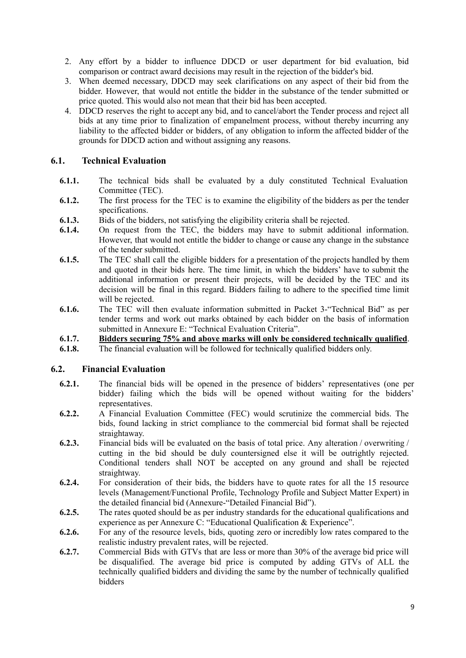- 2. Any effort by a bidder to influence DDCD or user department for bid evaluation, bid comparison or contract award decisions may result in the rejection of the bidder's bid.
- 3. When deemed necessary, DDCD may seek clarifications on any aspect of their bid from the bidder. However, that would not entitle the bidder in the substance of the tender submitted or price quoted. This would also not mean that their bid has been accepted.
- 4. DDCD reserves the right to accept any bid, and to cancel/abort the Tender process and reject all bids at any time prior to finalization of empanelment process, without thereby incurring any liability to the affected bidder or bidders, of any obligation to inform the affected bidder of the grounds for DDCD action and without assigning any reasons.

### <span id="page-12-0"></span>**6.1. Technical Evaluation**

- **6.1.1.** The technical bids shall be evaluated by a duly constituted Technical Evaluation Committee (TEC).
- **6.1.2.** The first process for the TEC is to examine the eligibility of the bidders as per the tender specifications.
- **6.1.3.** Bids of the bidders, not satisfying the eligibility criteria shall be rejected.
- **6.1.4.** On request from the TEC, the bidders may have to submit additional information. However, that would not entitle the bidder to change or cause any change in the substance of the tender submitted.
- **6.1.5.** The TEC shall call the eligible bidders for a presentation of the projects handled by them and quoted in their bids here. The time limit, in which the bidders' have to submit the additional information or present their projects, will be decided by the TEC and its decision will be final in this regard. Bidders failing to adhere to the specified time limit will be rejected.
- **6.1.6.** The TEC will then evaluate information submitted in Packet 3-"Technical Bid" as per tender terms and work out marks obtained by each bidder on the basis of information submitted in Annexure E: "Technical Evaluation Criteria".
- **6.1.7. Bidders securing 75% and above marks will only be considered technically qualified**.
- **6.1.8.** The financial evaluation will be followed for technically qualified bidders only.

### <span id="page-12-1"></span>**6.2. Financial Evaluation**

- **6.2.1.** The financial bids will be opened in the presence of bidders' representatives (one per bidder) failing which the bids will be opened without waiting for the bidders' representatives.
- **6.2.2.** A Financial Evaluation Committee (FEC) would scrutinize the commercial bids. The bids, found lacking in strict compliance to the commercial bid format shall be rejected straightaway.
- **6.2.3.** Financial bids will be evaluated on the basis of total price. Any alteration / overwriting / cutting in the bid should be duly countersigned else it will be outrightly rejected. Conditional tenders shall NOT be accepted on any ground and shall be rejected straightway.
- **6.2.4.** For consideration of their bids, the bidders have to quote rates for all the 15 resource levels (Management/Functional Profile, Technology Profile and Subject Matter Expert) in the detailed financial bid (Annexure-"Detailed Financial Bid").
- **6.2.5.** The rates quoted should be as per industry standards for the educational qualifications and experience as per Annexure C: "Educational Qualification & Experience".
- **6.2.6.** For any of the resource levels, bids, quoting zero or incredibly low rates compared to the realistic industry prevalent rates, will be rejected.
- **6.2.7.** Commercial Bids with GTVs that are less or more than 30% of the average bid price will be disqualified. The average bid price is computed by adding GTVs of ALL the technically qualified bidders and dividing the same by the number of technically qualified bidders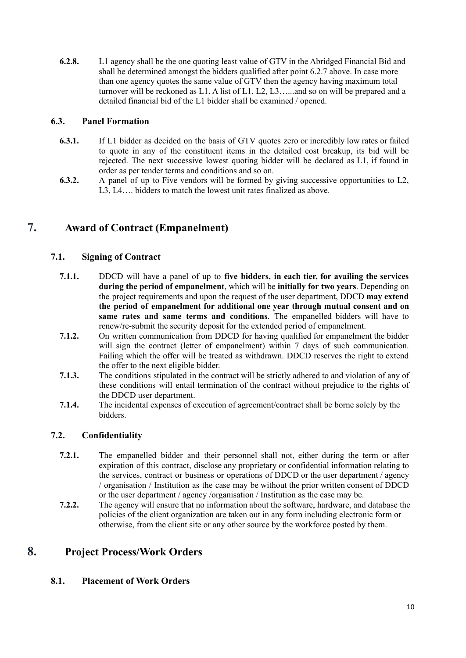**6.2.8.** L1 agency shall be the one quoting least value of GTV in the Abridged Financial Bid and shall be determined amongst the bidders qualified after point 6.2.7 above. In case more than one agency quotes the same value of GTV then the agency having maximum total turnover will be reckoned as L1. A list of L1, L2, L3…...and so on will be prepared and a detailed financial bid of the L1 bidder shall be examined / opened.

### <span id="page-13-0"></span>**6.3. Panel Formation**

- **6.3.1.** If L1 bidder as decided on the basis of GTV quotes zero or incredibly low rates or failed to quote in any of the constituent items in the detailed cost breakup, its bid will be rejected. The next successive lowest quoting bidder will be declared as L1, if found in order as per tender terms and conditions and so on.
- **6.3.2.** A panel of up to Five vendors will be formed by giving successive opportunities to L2, L3, L4…. bidders to match the lowest unit rates finalized as above.

## <span id="page-13-1"></span>**7. Award of Contract (Empanelment)**

### <span id="page-13-2"></span>**7.1. Signing of Contract**

- **7.1.1.** DDCD will have a panel of up to **five bidders, in each tier, for availing the services during the period of empanelment**, which will be **initially for two years**. Depending on the project requirements and upon the request of the user department, DDCD **may extend the period of empanelment for additional one year through mutual consent and on same rates and same terms and conditions**. The empanelled bidders will have to renew/re-submit the security deposit for the extended period of empanelment.
- **7.1.2.** On written communication from DDCD for having qualified for empanelment the bidder will sign the contract (letter of empanelment) within 7 days of such communication. Failing which the offer will be treated as withdrawn. DDCD reserves the right to extend the offer to the next eligible bidder.
- **7.1.3.** The conditions stipulated in the contract will be strictly adhered to and violation of any of these conditions will entail termination of the contract without prejudice to the rights of the DDCD user department.
- **7.1.4.** The incidental expenses of execution of agreement/contract shall be borne solely by the bidders.

### <span id="page-13-3"></span>**7.2. Confidentiality**

- **7.2.1.** The empanelled bidder and their personnel shall not, either during the term or after expiration of this contract, disclose any proprietary or confidential information relating to the services, contract or business or operations of DDCD or the user department / agency / organisation / Institution as the case may be without the prior written consent of DDCD or the user department / agency /organisation / Institution as the case may be.
- **7.2.2.** The agency will ensure that no information about the software, hardware, and database the policies of the client organization are taken out in any form including electronic form or otherwise, from the client site or any other source by the workforce posted by them.

### <span id="page-13-4"></span>**8. Project Process/Work Orders**

### <span id="page-13-5"></span>**8.1. Placement of Work Orders**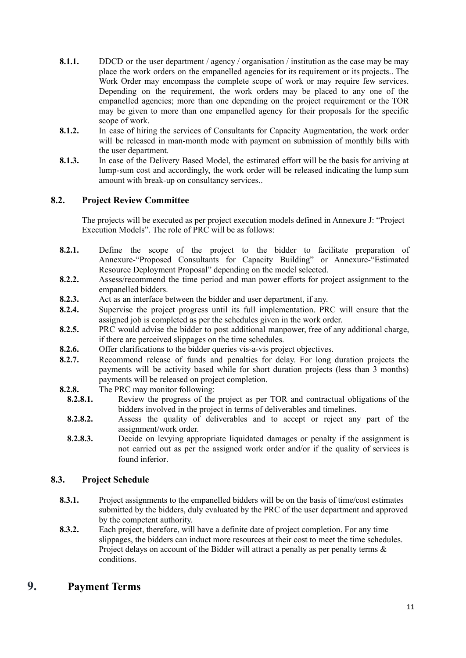- **8.1.1.** DDCD or the user department / agency / organisation / institution as the case may be may place the work orders on the empanelled agencies for its requirement or its projects.. The Work Order may encompass the complete scope of work or may require few services. Depending on the requirement, the work orders may be placed to any one of the empanelled agencies; more than one depending on the project requirement or the TOR may be given to more than one empanelled agency for their proposals for the specific scope of work.
- **8.1.2.** In case of hiring the services of Consultants for Capacity Augmentation, the work order will be released in man-month mode with payment on submission of monthly bills with the user department.
- **8.1.3.** In case of the Delivery Based Model, the estimated effort will be the basis for arriving at lump-sum cost and accordingly, the work order will be released indicating the lump sum amount with break-up on consultancy services..

### <span id="page-14-0"></span>**8.2. Project Review Committee**

The projects will be executed as per project execution models defined in Annexure J: "Project Execution Models". The role of PRC will be as follows:

- **8.2.1.** Define the scope of the project to the bidder to facilitate preparation of Annexure-"Proposed Consultants for Capacity Building" or Annexure-"Estimated Resource Deployment Proposal" depending on the model selected.
- **8.2.2.** Assess/recommend the time period and man power efforts for project assignment to the empanelled bidders.
- **8.2.3.** Act as an interface between the bidder and user department, if any.
- **8.2.4.** Supervise the project progress until its full implementation. PRC will ensure that the assigned job is completed as per the schedules given in the work order.
- **8.2.5.** PRC would advise the bidder to post additional manpower, free of any additional charge, if there are perceived slippages on the time schedules.
- **8.2.6.** Offer clarifications to the bidder queries vis-a-vis project objectives.
- **8.2.7.** Recommend release of funds and penalties for delay. For long duration projects the payments will be activity based while for short duration projects (less than 3 months) payments will be released on project completion.
- **8.2.8.** The PRC may monitor following:
	- **8.2.8.1.** Review the progress of the project as per TOR and contractual obligations of the bidders involved in the project in terms of deliverables and timelines.
	- **8.2.8.2.** Assess the quality of deliverables and to accept or reject any part of the assignment/work order.
	- **8.2.8.3.** Decide on levying appropriate liquidated damages or penalty if the assignment is not carried out as per the assigned work order and/or if the quality of services is found inferior.

### <span id="page-14-1"></span>**8.3. Project Schedule**

- **8.3.1.** Project assignments to the empanelled bidders will be on the basis of time/cost estimates submitted by the bidders, duly evaluated by the PRC of the user department and approved by the competent authority.
- **8.3.2.** Each project, therefore, will have a definite date of project completion. For any time slippages, the bidders can induct more resources at their cost to meet the time schedules. Project delays on account of the Bidder will attract a penalty as per penalty terms & conditions.

### <span id="page-14-2"></span>**9. Payment Terms**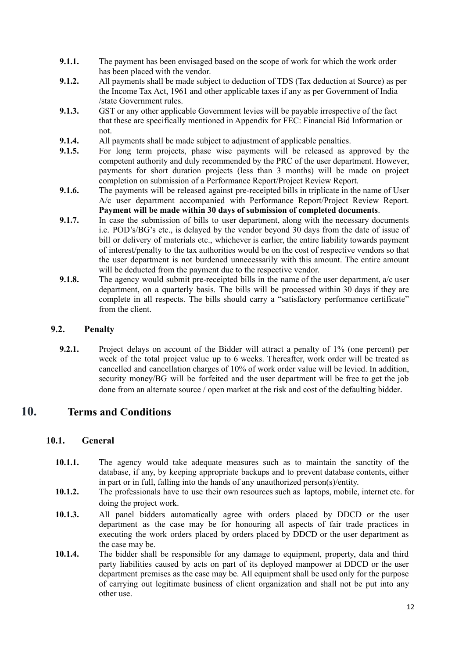- **9.1.1.** The payment has been envisaged based on the scope of work for which the work order has been placed with the vendor.
- **9.1.2.** All payments shall be made subject to deduction of TDS (Tax deduction at Source) as per the Income Tax Act, 1961 and other applicable taxes if any as per Government of India /state Government rules.
- **9.1.3.** GST or any other applicable Government levies will be payable irrespective of the fact that these are specifically mentioned in Appendix for FEC: Financial Bid Information or not.
- **9.1.4.** All payments shall be made subject to adjustment of applicable penalties.
- **9.1.5.** For long term projects, phase wise payments will be released as approved by the competent authority and duly recommended by the PRC of the user department. However, payments for short duration projects (less than 3 months) will be made on project completion on submission of a Performance Report/Project Review Report.
- **9.1.6.** The payments will be released against pre-receipted bills in triplicate in the name of User A/c user department accompanied with Performance Report/Project Review Report. **Payment will be made within 30 days of submission of completed documents**.
- **9.1.7.** In case the submission of bills to user department, along with the necessary documents i.e. POD's/BG's etc., is delayed by the vendor beyond 30 days from the date of issue of bill or delivery of materials etc., whichever is earlier, the entire liability towards payment of interest/penalty to the tax authorities would be on the cost of respective vendors so that the user department is not burdened unnecessarily with this amount. The entire amount will be deducted from the payment due to the respective vendor.
- **9.1.8.** The agency would submit pre-receipted bills in the name of the user department, a/c user department, on a quarterly basis. The bills will be processed within 30 days if they are complete in all respects. The bills should carry a "satisfactory performance certificate" from the client.

### <span id="page-15-0"></span>**9.2. Penalty**

**9.2.1.** Project delays on account of the Bidder will attract a penalty of 1% (one percent) per week of the total project value up to 6 weeks. Thereafter, work order will be treated as cancelled and cancellation charges of 10% of work order value will be levied. In addition, security money/BG will be forfeited and the user department will be free to get the job done from an alternate source / open market at the risk and cost of the defaulting bidder.

### <span id="page-15-1"></span>**10. Terms and Conditions**

### <span id="page-15-2"></span>**10.1. General**

- **10.1.1.** The agency would take adequate measures such as to maintain the sanctity of the database, if any, by keeping appropriate backups and to prevent database contents, either in part or in full, falling into the hands of any unauthorized person(s)/entity.
- **10.1.2.** The professionals have to use their own resources such as laptops, mobile, internet etc. for doing the project work.
- **10.1.3.** All panel bidders automatically agree with orders placed by DDCD or the user department as the case may be for honouring all aspects of fair trade practices in executing the work orders placed by orders placed by DDCD or the user department as the case may be.
- **10.1.4.** The bidder shall be responsible for any damage to equipment, property, data and third party liabilities caused by acts on part of its deployed manpower at DDCD or the user department premises as the case may be. All equipment shall be used only for the purpose of carrying out legitimate business of client organization and shall not be put into any other use.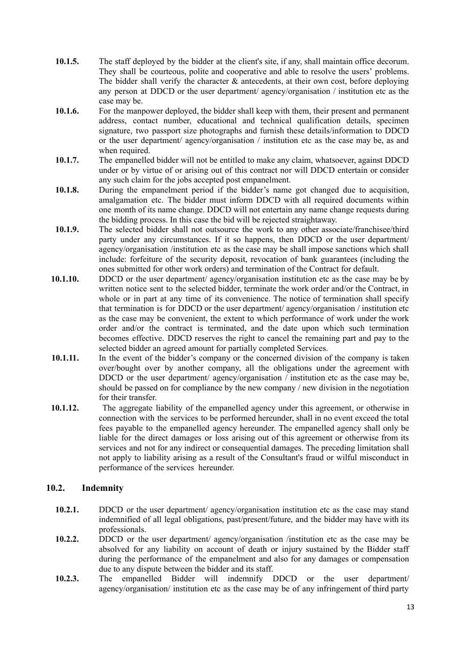- **10.1.5.** The staff deployed by the bidder at the client's site, if any, shall maintain office decorum. They shall be courteous, polite and cooperative and able to resolve the users' problems. The bidder shall verify the character  $\&$  antecedents, at their own cost, before deploying any person at DDCD or the user department/ agency/organisation / institution etc as the case may be.
- **10.1.6.** For the manpower deployed, the bidder shall keep with them, their present and permanent address, contact number, educational and technical qualification details, specimen signature, two passport size photographs and furnish these details/information to DDCD or the user department/ agency/organisation / institution etc as the case may be, as and when required.
- **10.1.7.** The empanelled bidder will not be entitled to make any claim, whatsoever, against DDCD under or by virtue of or arising out of this contract nor will DDCD entertain or consider any such claim for the jobs accepted post empanelment.
- **10.1.8.** During the empanelment period if the bidder's name got changed due to acquisition, amalgamation etc. The bidder must inform DDCD with all required documents within one month of its name change. DDCD will not entertain any name change requests during the bidding process. In this case the bid will be rejected straightaway.
- **10.1.9.** The selected bidder shall not outsource the work to any other associate/franchisee/third party under any circumstances. If it so happens, then DDCD or the user department/ agency/organisation /institution etc as the case may be shall impose sanctions which shall include: forfeiture of the security deposit, revocation of bank guarantees (including the ones submitted for other work orders) and termination of the Contract for default.
- **10.1.10.** DDCD or the user department/ agency/organisation institution etc as the case may be by written notice sent to the selected bidder, terminate the work order and/or the Contract, in whole or in part at any time of its convenience. The notice of termination shall specify that termination is for DDCD or the user department/ agency/organisation / institution etc as the case may be convenient, the extent to which performance of work under the work order and/or the contract is terminated, and the date upon which such termination becomes effective. DDCD reserves the right to cancel the remaining part and pay to the selected bidder an agreed amount for partially completed Services.
- **10.1.11.** In the event of the bidder's company or the concerned division of the company is taken over/bought over by another company, all the obligations under the agreement with DDCD or the user department/ agency/organisation / institution etc as the case may be, should be passed on for compliance by the new company / new division in the negotiation for their transfer.
- **10.1.12.** The aggregate liability of the empanelled agency under this agreement, or otherwise in connection with the services to be performed hereunder, shall in no event exceed the total fees payable to the empanelled agency hereunder. The empanelled agency shall only be liable for the direct damages or loss arising out of this agreement or otherwise from its services and not for any indirect or consequential damages. The preceding limitation shall not apply to liability arising as a result of the Consultant's fraud or wilful misconduct in performance of the services hereunder.

### <span id="page-16-0"></span>**10.2. Indemnity**

- **10.2.1.** DDCD or the user department/ agency/organisation institution etc as the case may stand indemnified of all legal obligations, past/present/future, and the bidder may have with its professionals.
- **10.2.2.** DDCD or the user department/ agency/organisation /institution etc as the case may be absolved for any liability on account of death or injury sustained by the Bidder staff during the performance of the empanelment and also for any damages or compensation due to any dispute between the bidder and its staff.
- **10.2.3.** The empanelled Bidder will indemnify DDCD or the user department/ agency/organisation/ institution etc as the case may be of any infringement of third party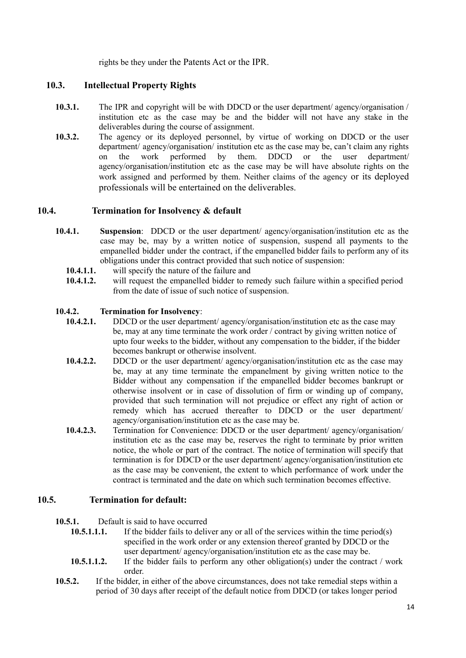rights be they under the Patents Act or the IPR.

### <span id="page-17-0"></span>**10.3. Intellectual Property Rights**

- **10.3.1.** The IPR and copyright will be with DDCD or the user department/ agency/organisation / institution etc as the case may be and the bidder will not have any stake in the deliverables during the course of assignment.
- **10.3.2.** The agency or its deployed personnel, by virtue of working on DDCD or the user department/ agency/organisation/ institution etc as the case may be, can't claim any rights on the work performed by them. DDCD or the user department/ agency/organisation/institution etc as the case may be will have absolute rights on the work assigned and performed by them. Neither claims of the agency or its deployed professionals will be entertained on the deliverables.

### <span id="page-17-1"></span>**10.4. Termination for Insolvency & default**

- **10.4.1. Suspension**: DDCD or the user department/ agency/organisation/institution etc as the case may be, may by a written notice of suspension, suspend all payments to the empanelled bidder under the contract, if the empanelled bidder fails to perform any of its obligations under this contract provided that such notice of suspension:
	- **10.4.1.1.** will specify the nature of the failure and
	- **10.4.1.2.** will request the empanelled bidder to remedy such failure within a specified period from the date of issue of such notice of suspension.

#### **10.4.2. Termination for Insolvency**:

- **10.4.2.1.** DDCD or the user department/ agency/organisation/institution etc as the case may be, may at any time terminate the work order / contract by giving written notice of upto four weeks to the bidder, without any compensation to the bidder, if the bidder becomes bankrupt or otherwise insolvent.
- **10.4.2.2.** DDCD or the user department/ agency/organisation/institution etc as the case may be, may at any time terminate the empanelment by giving written notice to the Bidder without any compensation if the empanelled bidder becomes bankrupt or otherwise insolvent or in case of dissolution of firm or winding up of company, provided that such termination will not prejudice or effect any right of action or remedy which has accrued thereafter to DDCD or the user department/ agency/organisation/institution etc as the case may be.
- **10.4.2.3.** Termination for Convenience: DDCD or the user department/ agency/organisation/ institution etc as the case may be, reserves the right to terminate by prior written notice, the whole or part of the contract. The notice of termination will specify that termination is for DDCD or the user department/ agency/organisation/institution etc as the case may be convenient, the extent to which performance of work under the contract is terminated and the date on which such termination becomes effective.

### <span id="page-17-2"></span>**10.5. Termination for default:**

- **10.5.1.** Default is said to have occurred
	- **10.5.1.1.1.** If the bidder fails to deliver any or all of the services within the time period(s) specified in the work order or any extension thereof granted by DDCD or the user department/ agency/organisation/institution etc as the case may be.
	- **10.5.1.1.2.** If the bidder fails to perform any other obligation(s) under the contract / work order.
- **10.5.2.** If the bidder, in either of the above circumstances, does not take remedial steps within a period of 30 days after receipt of the default notice from DDCD (or takes longer period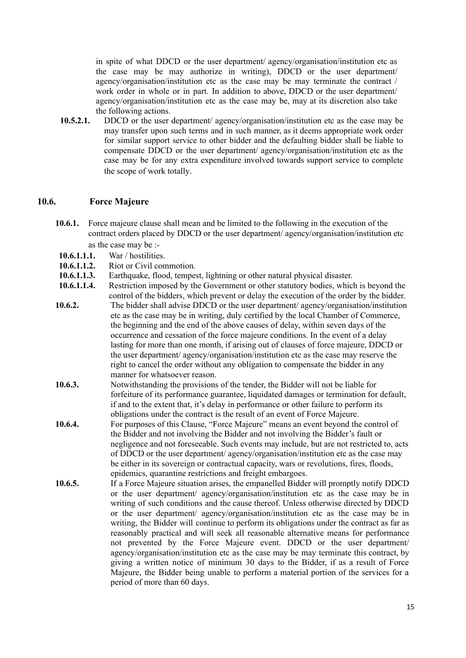in spite of what DDCD or the user department/ agency/organisation/institution etc as the case may be may authorize in writing), DDCD or the user department/ agency/organisation/institution etc as the case may be may terminate the contract / work order in whole or in part. In addition to above, DDCD or the user department/ agency/organisation/institution etc as the case may be, may at its discretion also take the following actions.

**10.5.2.1.** DDCD or the user department/ agency/organisation/institution etc as the case may be may transfer upon such terms and in such manner, as it deems appropriate work order for similar support service to other bidder and the defaulting bidder shall be liable to compensate DDCD or the user department/ agency/organisation/institution etc as the case may be for any extra expenditure involved towards support service to complete the scope of work totally.

#### <span id="page-18-0"></span>**10.6. Force Majeure**

- **10.6.1.** Force majeure clause shall mean and be limited to the following in the execution of the contract orders placed by DDCD or the user department/ agency/organisation/institution etc as the case may be :-
- **10.6.1.1.1.** War / hostilities.
- **10.6.1.1.2.** Riot or Civil commotion.
- **10.6.1.1.3.** Earthquake, flood, tempest, lightning or other natural physical disaster.
- **10.6.1.1.4.** Restriction imposed by the Government or other statutory bodies, which is beyond the control of the bidders, which prevent or delay the execution of the order by the bidder.
- **10.6.2.** The bidder shall advise DDCD or the user department/ agency/organisation/institution etc as the case may be in writing, duly certified by the local Chamber of Commerce, the beginning and the end of the above causes of delay, within seven days of the occurrence and cessation of the force majeure conditions. In the event of a delay lasting for more than one month, if arising out of clauses of force majeure, DDCD or the user department/ agency/organisation/institution etc as the case may reserve the right to cancel the order without any obligation to compensate the bidder in any manner for whatsoever reason.
- **10.6.3.** Notwithstanding the provisions of the tender, the Bidder will not be liable for forfeiture of its performance guarantee, liquidated damages or termination for default, if and to the extent that, it's delay in performance or other failure to perform its obligations under the contract is the result of an event of Force Majeure.
- **10.6.4.** For purposes of this Clause, "Force Majeure" means an event beyond the control of the Bidder and not involving the Bidder and not involving the Bidder's fault or negligence and not foreseeable. Such events may include, but are not restricted to, acts of DDCD or the user department/ agency/organisation/institution etc as the case may be either in its sovereign or contractual capacity, wars or revolutions, fires, floods, epidemics, quarantine restrictions and freight embargoes.
- **10.6.5.** If a Force Majeure situation arises, the empanelled Bidder will promptly notify DDCD or the user department/ agency/organisation/institution etc as the case may be in writing of such conditions and the cause thereof. Unless otherwise directed by DDCD or the user department/ agency/organisation/institution etc as the case may be in writing, the Bidder will continue to perform its obligations under the contract as far as reasonably practical and will seek all reasonable alternative means for performance not prevented by the Force Majeure event. DDCD or the user department/ agency/organisation/institution etc as the case may be may terminate this contract, by giving a written notice of minimum 30 days to the Bidder, if as a result of Force Majeure, the Bidder being unable to perform a material portion of the services for a period of more than 60 days.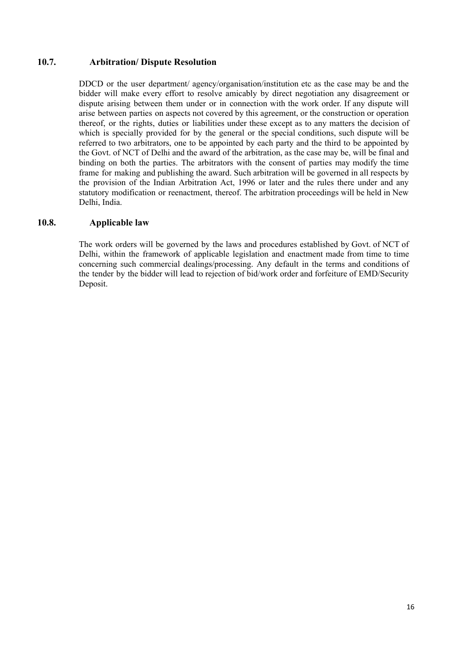### <span id="page-19-0"></span>**10.7. Arbitration/ Dispute Resolution**

DDCD or the user department/ agency/organisation/institution etc as the case may be and the bidder will make every effort to resolve amicably by direct negotiation any disagreement or dispute arising between them under or in connection with the work order. If any dispute will arise between parties on aspects not covered by this agreement, or the construction or operation thereof, or the rights, duties or liabilities under these except as to any matters the decision of which is specially provided for by the general or the special conditions, such dispute will be referred to two arbitrators, one to be appointed by each party and the third to be appointed by the Govt. of NCT of Delhi and the award of the arbitration, as the case may be, will be final and binding on both the parties. The arbitrators with the consent of parties may modify the time frame for making and publishing the award. Such arbitration will be governed in all respects by the provision of the Indian Arbitration Act, 1996 or later and the rules there under and any statutory modification or reenactment, thereof. The arbitration proceedings will be held in New Delhi, India.

#### <span id="page-19-1"></span>**10.8. Applicable law**

The work orders will be governed by the laws and procedures established by Govt. of NCT of Delhi, within the framework of applicable legislation and enactment made from time to time concerning such commercial dealings/processing. Any default in the terms and conditions of the tender by the bidder will lead to rejection of bid/work order and forfeiture of EMD/Security Deposit.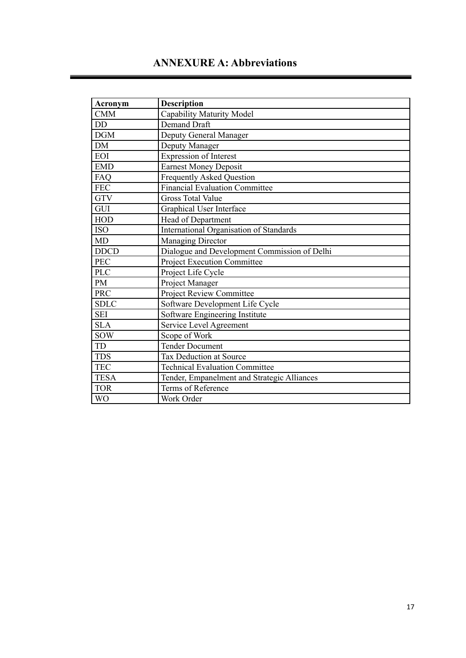# **ANNEXURE A: Abbreviations**

<span id="page-20-0"></span>

| Acronym     | <b>Description</b>                             |  |
|-------------|------------------------------------------------|--|
| <b>CMM</b>  | Capability Maturity Model                      |  |
| DD          | <b>Demand Draft</b>                            |  |
| <b>DGM</b>  | Deputy General Manager                         |  |
| ${\rm DM}$  | Deputy Manager                                 |  |
| <b>EOI</b>  | <b>Expression of Interest</b>                  |  |
| <b>EMD</b>  | <b>Earnest Money Deposit</b>                   |  |
| FAQ         | <b>Frequently Asked Question</b>               |  |
| <b>FEC</b>  | <b>Financial Evaluation Committee</b>          |  |
| <b>GTV</b>  | <b>Gross Total Value</b>                       |  |
| GUI         | Graphical User Interface                       |  |
| <b>HOD</b>  | Head of Department                             |  |
| <b>ISO</b>  | <b>International Organisation of Standards</b> |  |
| <b>MD</b>   | <b>Managing Director</b>                       |  |
| <b>DDCD</b> | Dialogue and Development Commission of Delhi   |  |
| PEC         | <b>Project Execution Committee</b>             |  |
| <b>PLC</b>  | Project Life Cycle                             |  |
| PM          | Project Manager                                |  |
| <b>PRC</b>  | <b>Project Review Committee</b>                |  |
| <b>SDLC</b> | Software Development Life Cycle                |  |
| <b>SEI</b>  | Software Engineering Institute                 |  |
| <b>SLA</b>  | Service Level Agreement                        |  |
| <b>SOW</b>  | Scope of Work                                  |  |
| TD          | <b>Tender Document</b>                         |  |
| <b>TDS</b>  | <b>Tax Deduction at Source</b>                 |  |
| <b>TEC</b>  | <b>Technical Evaluation Committee</b>          |  |
| <b>TESA</b> | Tender, Empanelment and Strategic Alliances    |  |
| <b>TOR</b>  | Terms of Reference                             |  |
| <b>WO</b>   | Work Order                                     |  |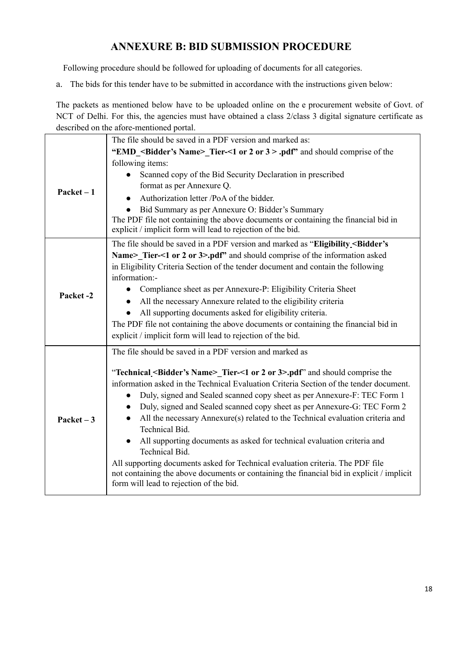## **ANNEXURE B: BID SUBMISSION PROCEDURE**

<span id="page-21-0"></span>Following procedure should be followed for uploading of documents for all categories.

a. The bids for this tender have to be submitted in accordance with the instructions given below:

The packets as mentioned below have to be uploaded online on the e procurement website of Govt. of NCT of Delhi. For this, the agencies must have obtained a class 2/class 3 digital signature certificate as described on the afore-mentioned portal.

|              | The file should be saved in a PDF version and marked as:                                            |
|--------------|-----------------------------------------------------------------------------------------------------|
|              | "EMD_ <bidder's name="">_Tier-&lt;1 or 2 or 3 &gt; .pdf" and should comprise of the</bidder's>      |
|              | following items:                                                                                    |
|              | Scanned copy of the Bid Security Declaration in prescribed                                          |
| $Packet - 1$ | format as per Annexure Q.                                                                           |
|              | Authorization letter /PoA of the bidder.                                                            |
|              | Bid Summary as per Annexure O: Bidder's Summary                                                     |
|              | The PDF file not containing the above documents or containing the financial bid in                  |
|              | explicit / implicit form will lead to rejection of the bid.                                         |
|              | The file should be saved in a PDF version and marked as "Eligibility_ <bidder's< th=""></bidder's<> |
|              | Name> Tier-<1 or 2 or 3>.pdf" and should comprise of the information asked                          |
|              | in Eligibility Criteria Section of the tender document and contain the following                    |
|              | information:-                                                                                       |
| Packet-2     | Compliance sheet as per Annexure-P: Eligibility Criteria Sheet                                      |
|              | All the necessary Annexure related to the eligibility criteria                                      |
|              | All supporting documents asked for eligibility criteria.                                            |
|              | The PDF file not containing the above documents or containing the financial bid in                  |
|              | explicit / implicit form will lead to rejection of the bid.                                         |
|              | The file should be saved in a PDF version and marked as                                             |
|              | "Technical <bidder's name=""> Tier-&lt;1 or 2 or 3&gt;.pdf" and should comprise the</bidder's>      |
|              | information asked in the Technical Evaluation Criteria Section of the tender document.              |
|              | Duly, signed and Sealed scanned copy sheet as per Annexure-F: TEC Form 1<br>$\bullet$               |
|              | Duly, signed and Sealed scanned copy sheet as per Annexure-G: TEC Form 2                            |
| Packet $-3$  | All the necessary Annexure(s) related to the Technical evaluation criteria and<br>$\bullet$         |
|              | Technical Bid.                                                                                      |
|              | All supporting documents as asked for technical evaluation criteria and                             |
|              | Technical Bid.                                                                                      |
|              | All supporting documents asked for Technical evaluation criteria. The PDF file                      |
|              | not containing the above documents or containing the financial bid in explicit / implicit           |
|              | form will lead to rejection of the bid.                                                             |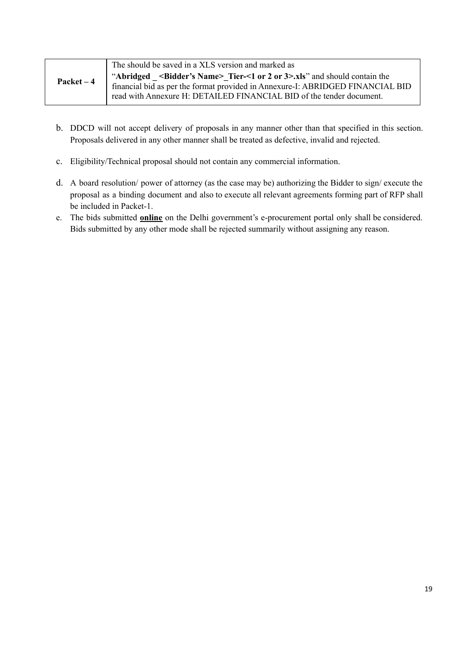|              | The should be saved in a XLS version and marked as                                                                                                                                                                                                       |
|--------------|----------------------------------------------------------------------------------------------------------------------------------------------------------------------------------------------------------------------------------------------------------|
| $Packet - 4$ | "Abridged <bidder's name=""> Tier-&lt;1 or 2 or 3&gt;.xls" and should contain the<br/>financial bid as per the format provided in Annexure-I: ABRIDGED FINANCIAL BID<br/>read with Annexure H: DETAILED FINANCIAL BID of the tender document.</bidder's> |
|              |                                                                                                                                                                                                                                                          |

- b. DDCD will not accept delivery of proposals in any manner other than that specified in this section. Proposals delivered in any other manner shall be treated as defective, invalid and rejected.
- c. Eligibility/Technical proposal should not contain any commercial information.
- d. A board resolution/ power of attorney (as the case may be) authorizing the Bidder to sign/ execute the proposal as a binding document and also to execute all relevant agreements forming part of RFP shall be included in Packet-1.
- e. The bids submitted **online** on the Delhi government's e-procurement portal only shall be considered. Bids submitted by any other mode shall be rejected summarily without assigning any reason.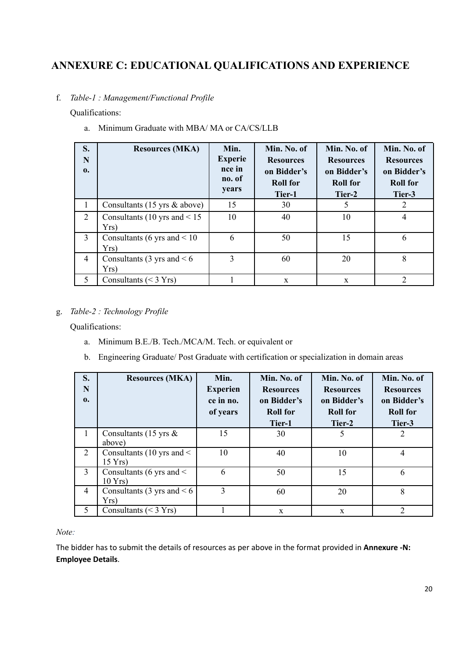# <span id="page-23-0"></span>**ANNEXURE C: EDUCATIONAL QUALIFICATIONS AND EXPERIENCE**

### f. *Table-1 : Management/Functional Profile*

Qualifications:

| S.<br>N<br>$\mathbf{0}$ . | <b>Resources (MKA)</b>                          | Min.<br><b>Experie</b><br>nce in<br>no. of<br>years | Min. No. of<br><b>Resources</b><br>on Bidder's<br><b>Roll for</b><br>Tier-1 | Min. No. of<br><b>Resources</b><br>on Bidder's<br><b>Roll for</b><br>Tier-2 | Min. No. of<br><b>Resources</b><br>on Bidder's<br><b>Roll for</b><br>Tier-3 |
|---------------------------|-------------------------------------------------|-----------------------------------------------------|-----------------------------------------------------------------------------|-----------------------------------------------------------------------------|-----------------------------------------------------------------------------|
| 1                         | Consultants $(15 \text{ yrs } \& \text{above})$ | 15                                                  | 30                                                                          | 5                                                                           | 2                                                                           |
| 2                         | Consultants (10 yrs and $\leq$ 15<br>Yrs)       | 10                                                  | 40                                                                          | 10                                                                          | $\overline{4}$                                                              |
| 3                         | Consultants (6 yrs and $\leq 10$<br>Yrs)        | 6                                                   | 50                                                                          | 15                                                                          | 6                                                                           |
| $\overline{4}$            | Consultants (3 yrs and $< 6$ )<br>Yrs)          | 3                                                   | 60                                                                          | 20                                                                          | 8                                                                           |
| 5                         | Consultants $(< 3 Yrs)$                         |                                                     | X                                                                           | X                                                                           | $\overline{2}$                                                              |

a. Minimum Graduate with MBA/ MA or CA/CS/LLB

#### g. *Table-2 : Technology Profile*

Qualifications:

- a. Minimum B.E./B. Tech./MCA/M. Tech. or equivalent or
- b. Engineering Graduate/ Post Graduate with certification or specialization in domain areas

| S.<br>N<br>$\mathbf{0}$ . | <b>Resources (MKA)</b>                            | Min.<br><b>Experien</b><br>ce in no.<br>of years | Min. No. of<br><b>Resources</b><br>on Bidder's<br><b>Roll for</b><br>Tier-1 | Min. No. of<br><b>Resources</b><br>on Bidder's<br><b>Roll for</b><br>Tier-2 | Min. No. of<br><b>Resources</b><br>on Bidder's<br><b>Roll for</b><br>Tier-3 |
|---------------------------|---------------------------------------------------|--------------------------------------------------|-----------------------------------------------------------------------------|-----------------------------------------------------------------------------|-----------------------------------------------------------------------------|
| $\mathbf{1}$              | Consultants (15 yrs $\&$<br>above)                | 15                                               | 30                                                                          | 5                                                                           | 2                                                                           |
| 2                         | Consultants (10 yrs and $\leq$<br>$15 \text{Yrs}$ | 10                                               | 40                                                                          | 10                                                                          | $\overline{4}$                                                              |
| 3                         | Consultants (6 yrs and $\leq$<br>$10$ Yrs)        | 6                                                | 50                                                                          | 15                                                                          | 6                                                                           |
| 4                         | Consultants (3 yrs and $\leq 6$ )<br>Yrs)         | 3                                                | 60                                                                          | 20                                                                          | 8                                                                           |
| 5                         | Consultants $(< 3 Yrs)$                           |                                                  | X                                                                           | X                                                                           | 2                                                                           |

*Note:*

The bidder has to submit the details of resources as per above in the format provided in **Annexure -N: Employee Details**.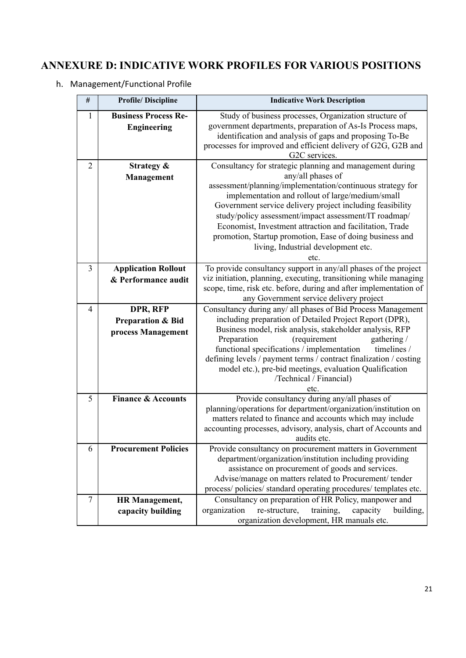# <span id="page-24-0"></span>**ANNEXURE D: INDICATIVE WORK PROFILES FOR VARIOUS POSITIONS**

h. Management/Functional Profile

| #              | <b>Profile/Discipline</b>     | <b>Indicative Work Description</b>                                                                                          |
|----------------|-------------------------------|-----------------------------------------------------------------------------------------------------------------------------|
| 1              | <b>Business Process Re-</b>   | Study of business processes, Organization structure of<br>government departments, preparation of As-Is Process maps,        |
|                | <b>Engineering</b>            | identification and analysis of gaps and proposing To-Be                                                                     |
|                |                               | processes for improved and efficient delivery of G2G, G2B and                                                               |
|                |                               | G2C services.                                                                                                               |
| $\overline{2}$ | Strategy &                    | Consultancy for strategic planning and management during                                                                    |
|                | Management                    | any/all phases of                                                                                                           |
|                |                               | assessment/planning/implementation/continuous strategy for<br>implementation and rollout of large/medium/small              |
|                |                               | Government service delivery project including feasibility                                                                   |
|                |                               | study/policy assessment/impact assessment/IT roadmap/                                                                       |
|                |                               | Economist, Investment attraction and facilitation, Trade                                                                    |
|                |                               | promotion, Startup promotion, Ease of doing business and                                                                    |
|                |                               | living, Industrial development etc.                                                                                         |
|                |                               | etc.                                                                                                                        |
| 3              | <b>Application Rollout</b>    | To provide consultancy support in any/all phases of the project                                                             |
|                | & Performance audit           | viz initiation, planning, executing, transitioning while managing                                                           |
|                |                               | scope, time, risk etc. before, during and after implementation of                                                           |
|                |                               | any Government service delivery project                                                                                     |
| 4              | DPR, RFP                      | Consultancy during any/ all phases of Bid Process Management                                                                |
|                | <b>Preparation &amp; Bid</b>  | including preparation of Detailed Project Report (DPR),<br>Business model, risk analysis, stakeholder analysis, RFP         |
|                | process Management            | Preparation<br>(requirement<br>gathering /                                                                                  |
|                |                               | functional specifications / implementation<br>timelines /                                                                   |
|                |                               | defining levels / payment terms / contract finalization / costing                                                           |
|                |                               | model etc.), pre-bid meetings, evaluation Qualification                                                                     |
|                |                               | /Technical / Financial)                                                                                                     |
|                |                               | etc.                                                                                                                        |
| 5              | <b>Finance &amp; Accounts</b> | Provide consultancy during any/all phases of<br>planning/operations for department/organization/institution on              |
|                |                               | matters related to finance and accounts which may include                                                                   |
|                |                               | accounting processes, advisory, analysis, chart of Accounts and                                                             |
|                |                               | audits etc.                                                                                                                 |
| 6              | <b>Procurement Policies</b>   | Provide consultancy on procurement matters in Government                                                                    |
|                |                               | department/organization/institution including providing                                                                     |
|                |                               | assistance on procurement of goods and services.                                                                            |
|                |                               | Advise/manage on matters related to Procurement/ tender<br>process/ policies/ standard operating procedures/ templates etc. |
| $\overline{7}$ | <b>HR</b> Management,         | Consultancy on preparation of HR Policy, manpower and                                                                       |
|                |                               | organization<br>re-structure,<br>training,<br>capacity<br>building,                                                         |
|                | capacity building             | organization development, HR manuals etc.                                                                                   |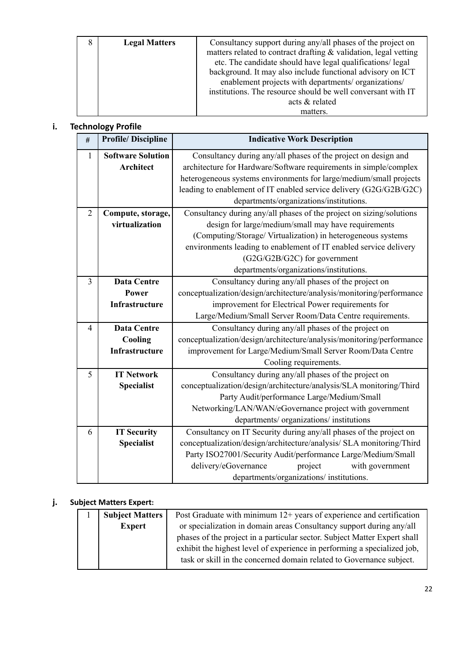| <b>Legal Matters</b> | Consultancy support during any/all phases of the project on      |
|----------------------|------------------------------------------------------------------|
|                      | matters related to contract drafting & validation, legal vetting |
|                      | etc. The candidate should have legal qualifications/ legal       |
|                      | background. It may also include functional advisory on ICT       |
|                      | enablement projects with departments/ organizations/             |
|                      | institutions. The resource should be well conversant with IT     |
|                      | acts & related                                                   |
|                      | matters.                                                         |

### **i. Technology Profile**

| $\#$           | <b>Profile/Discipline</b> | <b>Indicative Work Description</b>                                    |  |  |  |
|----------------|---------------------------|-----------------------------------------------------------------------|--|--|--|
| $\mathbf{1}$   | <b>Software Solution</b>  | Consultancy during any/all phases of the project on design and        |  |  |  |
|                | <b>Architect</b>          | architecture for Hardware/Software requirements in simple/complex     |  |  |  |
|                |                           | heterogeneous systems environments for large/medium/small projects    |  |  |  |
|                |                           | leading to enablement of IT enabled service delivery (G2G/G2B/G2C)    |  |  |  |
|                |                           | departments/organizations/institutions.                               |  |  |  |
| $\overline{2}$ | Compute, storage,         | Consultancy during any/all phases of the project on sizing/solutions  |  |  |  |
|                | virtualization            | design for large/medium/small may have requirements                   |  |  |  |
|                |                           | (Computing/Storage/Virtualization) in heterogeneous systems           |  |  |  |
|                |                           | environments leading to enablement of IT enabled service delivery     |  |  |  |
|                |                           | (G2G/G2B/G2C) for government                                          |  |  |  |
|                |                           | departments/organizations/institutions.                               |  |  |  |
| 3              | <b>Data Centre</b>        | Consultancy during any/all phases of the project on                   |  |  |  |
|                | Power                     | conceptualization/design/architecture/analysis/monitoring/performance |  |  |  |
|                | <b>Infrastructure</b>     | improvement for Electrical Power requirements for                     |  |  |  |
|                |                           | Large/Medium/Small Server Room/Data Centre requirements.              |  |  |  |
| $\overline{4}$ | <b>Data Centre</b>        | Consultancy during any/all phases of the project on                   |  |  |  |
|                | Cooling                   | conceptualization/design/architecture/analysis/monitoring/performance |  |  |  |
|                | <b>Infrastructure</b>     | improvement for Large/Medium/Small Server Room/Data Centre            |  |  |  |
|                |                           | Cooling requirements.                                                 |  |  |  |
| 5              | <b>IT Network</b>         | Consultancy during any/all phases of the project on                   |  |  |  |
|                | <b>Specialist</b>         | conceptualization/design/architecture/analysis/SLA monitoring/Third   |  |  |  |
|                |                           | Party Audit/performance Large/Medium/Small                            |  |  |  |
|                |                           | Networking/LAN/WAN/eGovernance project with government                |  |  |  |
|                |                           | departments/ organizations/ institutions                              |  |  |  |
| 6              | <b>IT Security</b>        | Consultancy on IT Security during any/all phases of the project on    |  |  |  |
|                | <b>Specialist</b>         | conceptualization/design/architecture/analysis/ SLA monitoring/Third  |  |  |  |
|                |                           | Party ISO27001/Security Audit/performance Large/Medium/Small          |  |  |  |
|                |                           | delivery/eGovernance<br>project<br>with government                    |  |  |  |
|                |                           | departments/organizations/ institutions.                              |  |  |  |

### **j. Subject Matters Expert:**

| <b>Subject Matters</b><br>Post Graduate with minimum 12+ years of experience and certification |                                                                           |
|------------------------------------------------------------------------------------------------|---------------------------------------------------------------------------|
| <b>Expert</b>                                                                                  | or specialization in domain areas Consultancy support during any/all      |
|                                                                                                | phases of the project in a particular sector. Subject Matter Expert shall |
|                                                                                                | exhibit the highest level of experience in performing a specialized job,  |
|                                                                                                | task or skill in the concerned domain related to Governance subject.      |
|                                                                                                |                                                                           |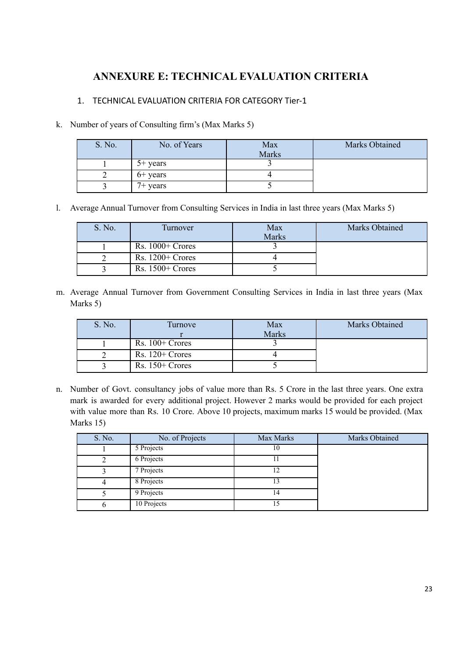# **ANNEXURE E: TECHNICAL EVALUATION CRITERIA**

### <span id="page-26-0"></span>1. TECHNICAL EVALUATION CRITERIA FOR CATEGORY Tier-1

#### k. Number of years of Consulting firm's (Max Marks 5)

| S. No. | No. of Years | Max<br><b>Marks</b> | Marks Obtained |
|--------|--------------|---------------------|----------------|
|        | 5+ years     |                     |                |
|        | $6+$ years   |                     |                |
|        | 7+ years     |                     |                |

l. Average Annual Turnover from Consulting Services in India in last three years (Max Marks 5)

| S. No. | Turnover           | Max<br><b>Marks</b> | Marks Obtained |
|--------|--------------------|---------------------|----------------|
|        | $Rs. 1000 + Cross$ |                     |                |
|        | $Rs. 1200 + Cross$ |                     |                |
|        | $Rs. 1500 + Cross$ |                     |                |

m. Average Annual Turnover from Government Consulting Services in India in last three years (Max Marks 5)

| S. No. | Turnove            | Max          | <b>Marks Obtained</b> |
|--------|--------------------|--------------|-----------------------|
|        |                    | <b>Marks</b> |                       |
|        | $Rs. 100 + Cross$  |              |                       |
|        | $Rs. 120 + Crores$ |              |                       |
|        | $Rs. 150 + Cross$  |              |                       |

n. Number of Govt. consultancy jobs of value more than Rs. 5 Crore in the last three years. One extra mark is awarded for every additional project. However 2 marks would be provided for each project with value more than Rs. 10 Crore. Above 10 projects, maximum marks 15 would be provided. (Max Marks 15)

| S. No. | No. of Projects | Max Marks | Marks Obtained |
|--------|-----------------|-----------|----------------|
|        | 5 Projects      | 10        |                |
|        | 6 Projects      |           |                |
|        | 7 Projects      |           |                |
|        | 8 Projects      |           |                |
|        | 9 Projects      | 14        |                |
|        | 10 Projects     |           |                |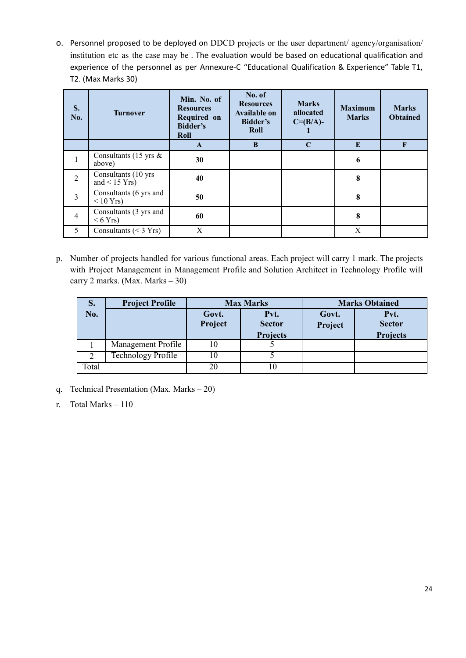o. Personnel proposed to be deployed on DDCD projects or the user department/ agency/organisation/ institution etc as the case may be . The evaluation would be based on educational qualification and experience of the personnel as per Annexure-C "Educational Qualification & Experience" Table T1, T2. (Max Marks 30)

| S.<br>No.      | <b>Turnover</b>                            | Min. No. of<br><b>Resources</b><br>Required on<br><b>Bidder's</b><br>Roll | No. of<br><b>Resources</b><br><b>Available on</b><br>Bidder's<br>Roll | <b>Marks</b><br>allocated<br>$C = (B/A)$ - | <b>Maximum</b><br><b>Marks</b> | <b>Marks</b><br><b>Obtained</b> |
|----------------|--------------------------------------------|---------------------------------------------------------------------------|-----------------------------------------------------------------------|--------------------------------------------|--------------------------------|---------------------------------|
|                |                                            | $\mathbf{A}$                                                              | B                                                                     | $\mathbf C$                                | E                              | $\mathbf{F}$                    |
| $\mathbf{1}$   | Consultants (15 yrs $\&$<br>above)         | 30                                                                        |                                                                       |                                            | 6                              |                                 |
| $\overline{2}$ | Consultants (10 yrs<br>and $<$ 15 Yrs)     | 40                                                                        |                                                                       |                                            | 8                              |                                 |
| $\overline{3}$ | Consultants (6 yrs and<br>$< 10$ Yrs)      | 50                                                                        |                                                                       |                                            | 8                              |                                 |
| $\overline{4}$ | Consultants (3 yrs and<br>$< 6 \text{Yrs}$ | 60                                                                        |                                                                       |                                            | 8                              |                                 |
| 5              | Consultants $(< 3 Yrs)$                    | X                                                                         |                                                                       |                                            | X                              |                                 |

p. Number of projects handled for various functional areas. Each project will carry 1 mark. The projects with Project Management in Management Profile and Solution Architect in Technology Profile will carry 2 marks. (Max. Marks – 30)

| S.    | <b>Project Profile</b>    | <b>Max Marks</b> |                                          | <b>Marks Obtained</b> |                                          |
|-------|---------------------------|------------------|------------------------------------------|-----------------------|------------------------------------------|
| No.   |                           | Govt.<br>Project | Pvt.<br><b>Sector</b><br><b>Projects</b> | Govt.<br>Project      | Pvt.<br><b>Sector</b><br><b>Projects</b> |
|       | Management Profile        | 10               |                                          |                       |                                          |
|       | <b>Technology Profile</b> | 10               |                                          |                       |                                          |
| Total |                           | 20               | 10                                       |                       |                                          |

- q. Technical Presentation (Max. Marks 20)
- r. Total Marks 110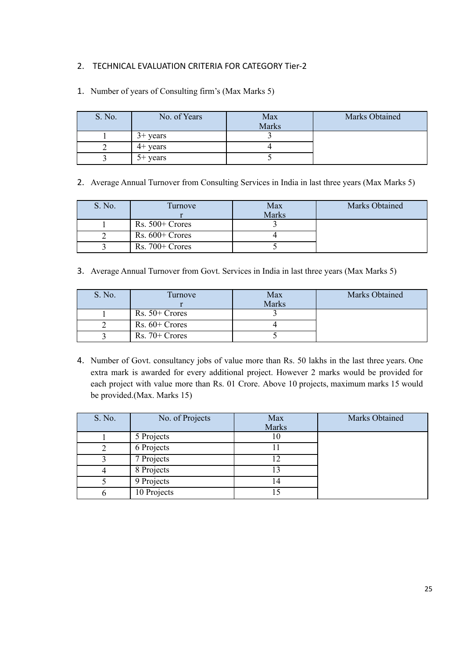### 2. TECHNICAL EVALUATION CRITERIA FOR CATEGORY Tier-2

| S. No. | No. of Years | Max<br><b>Marks</b> | Marks Obtained |
|--------|--------------|---------------------|----------------|
|        | $3+$ years   |                     |                |
|        | $4+$ years   |                     |                |
|        | $5+$ years   |                     |                |

1. Number of years of Consulting firm's (Max Marks 5)

2. Average Annual Turnover from Consulting Services in India in last three years (Max Marks 5)

| S. No. | Turnove           | Max          | <b>Marks Obtained</b> |
|--------|-------------------|--------------|-----------------------|
|        |                   | <b>Marks</b> |                       |
|        | $Rs. 500 + Cross$ |              |                       |
|        | $Rs. 600 + Cross$ |              |                       |
|        | $Rs. 700 + Cross$ |              |                       |

3. Average Annual Turnover from Govt. Services in India in last three years (Max Marks 5)

| S. No. | <b>Turnove</b>   | Max          | Marks Obtained |
|--------|------------------|--------------|----------------|
|        |                  | <b>Marks</b> |                |
|        | $Rs. 50 + Cross$ |              |                |
|        | $Rs. 60+Corores$ |              |                |
|        | $Rs. 70 + Cross$ |              |                |

4. Number of Govt. consultancy jobs of value more than Rs. 50 lakhs in the last three years. One extra mark is awarded for every additional project. However 2 marks would be provided for each project with value more than Rs. 01 Crore. Above 10 projects, maximum marks 15 would be provided.(Max. Marks 15)

| S. No. | No. of Projects | Max<br>Marks | Marks Obtained |
|--------|-----------------|--------------|----------------|
|        | 5 Projects      | 1 V          |                |
|        | 6 Projects      |              |                |
|        | 7 Projects      |              |                |
|        | 8 Projects      | 13           |                |
|        | 9 Projects      | 14           |                |
|        | 10 Projects     |              |                |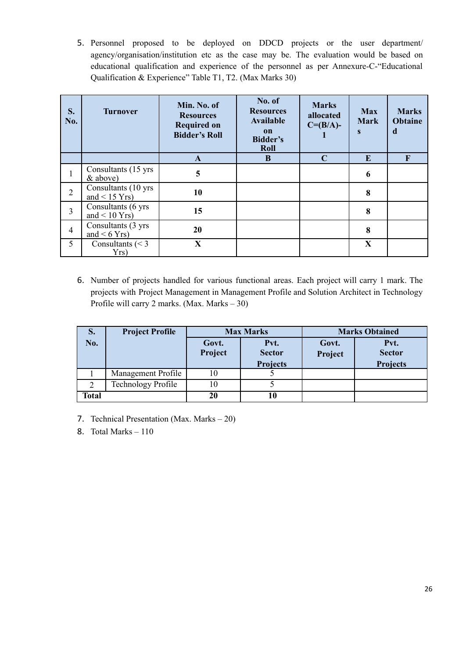5. Personnel proposed to be deployed on DDCD projects or the user department/ agency/organisation/institution etc as the case may be. The evaluation would be based on educational qualification and experience of the personnel as per Annexure-C-"Educational Qualification & Experience" Table T1, T2. (Max Marks 30)

| S.<br>No.      | <b>Turnover</b>                        | Min. No. of<br><b>Resources</b><br><b>Required on</b><br><b>Bidder's Roll</b> | No. of<br><b>Resources</b><br>Available<br>on<br><b>Bidder's</b><br><b>Roll</b> | <b>Marks</b><br>allocated<br>$C = (B/A)$ - | <b>Max</b><br><b>Mark</b><br>S | <b>Marks</b><br><b>Obtaine</b><br>d |
|----------------|----------------------------------------|-------------------------------------------------------------------------------|---------------------------------------------------------------------------------|--------------------------------------------|--------------------------------|-------------------------------------|
|                |                                        | $\mathbf{A}$                                                                  | B                                                                               | $\mathbf C$                                | E                              | $\mathbf F$                         |
| $\bf{1}$       | Consultants (15 yrs)<br>& above)       | 5                                                                             |                                                                                 |                                            | 6                              |                                     |
| $\overline{2}$ | Consultants (10 yrs<br>and $< 15$ Yrs) | 10                                                                            |                                                                                 |                                            | 8                              |                                     |
| $\overline{3}$ | Consultants (6 yrs<br>and $< 10$ Yrs)  | 15                                                                            |                                                                                 |                                            | 8                              |                                     |
| $\overline{4}$ | Consultants (3 yrs<br>and $<$ 6 Yrs)   | 20                                                                            |                                                                                 |                                            | 8                              |                                     |
| 5              | Consultants $(< 3$<br>Yrs)             | X                                                                             |                                                                                 |                                            | $\mathbf X$                    |                                     |

6. Number of projects handled for various functional areas. Each project will carry 1 mark. The projects with Project Management in Management Profile and Solution Architect in Technology Profile will carry 2 marks. (Max. Marks – 30)

| S.           | <b>Project Profile</b> |                  | <b>Max Marks</b>      |                  | <b>Marks Obtained</b> |
|--------------|------------------------|------------------|-----------------------|------------------|-----------------------|
| No.          |                        | Govt.<br>Project | Pvt.<br><b>Sector</b> | Govt.<br>Project | Pvt.<br><b>Sector</b> |
|              |                        |                  | <b>Projects</b>       |                  | <b>Projects</b>       |
|              | Management Profile     |                  |                       |                  |                       |
| 2            | Technology Profile     | 10               |                       |                  |                       |
| <b>Total</b> |                        | 20               | 10                    |                  |                       |

- 7. Technical Presentation (Max. Marks 20)
- 8. Total Marks 110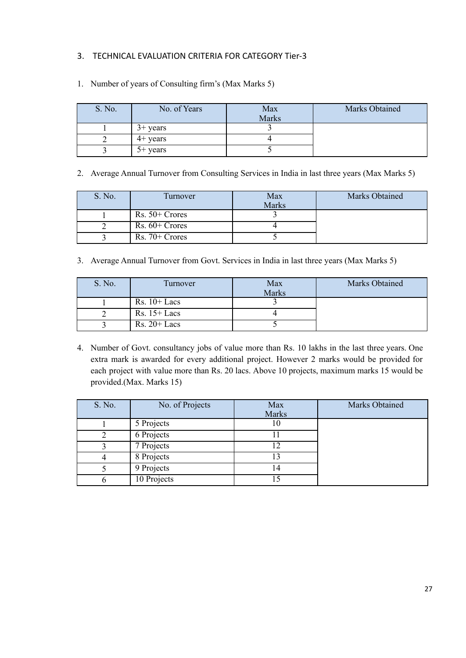### 3. TECHNICAL EVALUATION CRITERIA FOR CATEGORY Tier-3

| S. No. | No. of Years | Max<br><b>Marks</b> | <b>Marks Obtained</b> |
|--------|--------------|---------------------|-----------------------|
|        | $3+$ years   |                     |                       |
|        | $4+$ years   |                     |                       |
|        | $5+$ years   |                     |                       |

1. Number of years of Consulting firm's (Max Marks 5)

#### 2. Average Annual Turnover from Consulting Services in India in last three years (Max Marks 5)

| S. No. | Turnover         | Max<br><b>Marks</b> | <b>Marks Obtained</b> |
|--------|------------------|---------------------|-----------------------|
|        | $Rs. 50 + Cross$ |                     |                       |
|        | $Rs. 60+Corores$ |                     |                       |
|        | $Rs. 70 + Cross$ |                     |                       |

3. Average Annual Turnover from Govt. Services in India in last three years (Max Marks 5)

| S. No. | Turnover        | Max<br><b>Marks</b> | <b>Marks Obtained</b> |
|--------|-----------------|---------------------|-----------------------|
|        | $Rs. 10+ Lacs$  |                     |                       |
|        | $Rs. 15+ Lacs$  |                     |                       |
|        | $Rs. 20 + Lacs$ |                     |                       |

4. Number of Govt. consultancy jobs of value more than Rs. 10 lakhs in the last three years. One extra mark is awarded for every additional project. However 2 marks would be provided for each project with value more than Rs. 20 lacs. Above 10 projects, maximum marks 15 would be provided.(Max. Marks 15)

| S. No. | No. of Projects | Max<br>Marks | <b>Marks Obtained</b> |
|--------|-----------------|--------------|-----------------------|
|        | 5 Projects      | 10           |                       |
|        | 6 Projects      |              |                       |
|        | 7 Projects      |              |                       |
|        | 8 Projects      |              |                       |
|        | 9 Projects      | 14           |                       |
|        | 10 Projects     |              |                       |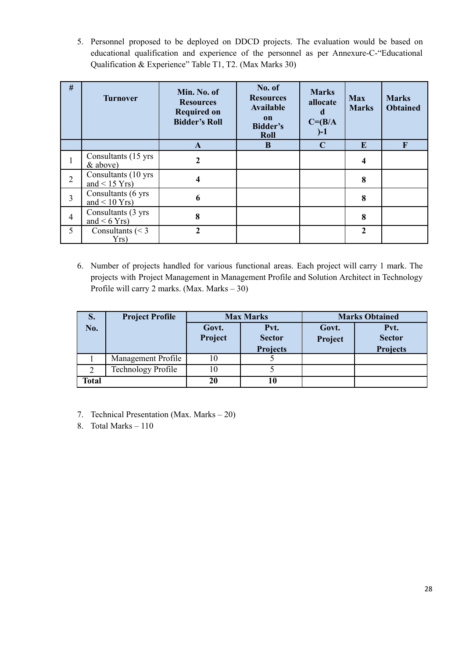5. Personnel proposed to be deployed on DDCD projects. The evaluation would be based on educational qualification and experience of the personnel as per Annexure-C-"Educational Qualification & Experience" Table T1, T2. (Max Marks 30)

| $\#$           | <b>Turnover</b>                        | Min. No. of<br><b>Resources</b><br><b>Required on</b><br><b>Bidder's Roll</b> | No. of<br><b>Resources</b><br>Available<br>on<br><b>Bidder's</b><br><b>Roll</b> | <b>Marks</b><br>allocate<br>$C = (B/A)$<br>$)-1$ | <b>Max</b><br><b>Marks</b> | <b>Marks</b><br><b>Obtained</b> |
|----------------|----------------------------------------|-------------------------------------------------------------------------------|---------------------------------------------------------------------------------|--------------------------------------------------|----------------------------|---------------------------------|
|                |                                        | A                                                                             | B                                                                               | $\mathbf C$                                      | E                          | F                               |
|                | Consultants (15 yrs)<br>$&$ above)     | 2                                                                             |                                                                                 |                                                  | 4                          |                                 |
| $\overline{2}$ | Consultants (10 yrs<br>and $<$ 15 Yrs) | 4                                                                             |                                                                                 |                                                  | 8                          |                                 |
| $\overline{3}$ | Consultants (6 yrs<br>and $< 10$ Yrs)  | 6                                                                             |                                                                                 |                                                  | 8                          |                                 |
| $\overline{4}$ | Consultants (3 yrs<br>and $<$ 6 Yrs)   | 8                                                                             |                                                                                 |                                                  | 8                          |                                 |
| 5              | Consultants $(< 3$<br>Yrs)             | $\mathbf{2}$                                                                  |                                                                                 |                                                  | $\mathbf{2}$               |                                 |

6. Number of projects handled for various functional areas. Each project will carry 1 mark. The projects with Project Management in Management Profile and Solution Architect in Technology Profile will carry 2 marks. (Max. Marks – 30)

| $S_{\bullet}$ | <b>Project Profile</b> |                  | <b>Max Marks</b>                         |                  | <b>Marks Obtained</b>                    |
|---------------|------------------------|------------------|------------------------------------------|------------------|------------------------------------------|
| No.           |                        | Govt.<br>Project | Pvt.<br><b>Sector</b><br><b>Projects</b> | Govt.<br>Project | Pvt.<br><b>Sector</b><br><b>Projects</b> |
|               | Management Profile     | 10               |                                          |                  |                                          |
| $\mathcal{D}$ | Technology Profile     | 10               |                                          |                  |                                          |
| Total         |                        | 20               | 10                                       |                  |                                          |

- 7. Technical Presentation (Max. Marks 20)
- 8. Total Marks 110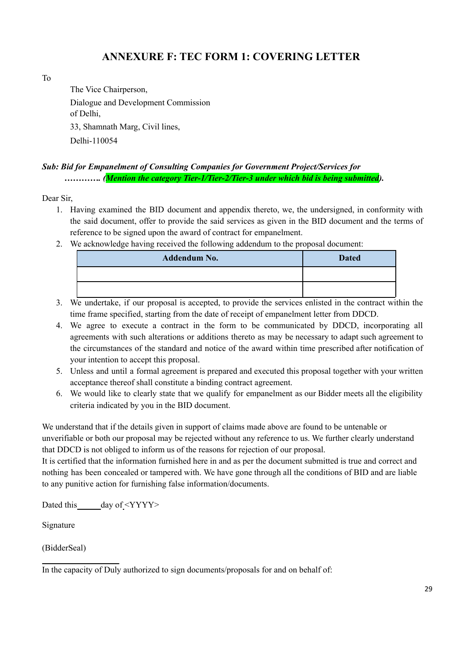## **ANNEXURE F: TEC FORM 1: COVERING LETTER**

<span id="page-32-0"></span>To

The Vice Chairperson, Dialogue and Development Commission of Delhi, 33, Shamnath Marg, Civil lines, Delhi-110054

### *Sub: Bid for Empanelment of Consulting Companies for Government Project/Services for …………. (Mention the category Tier-1/Tier-2/Tier-3 under which bid is being submitted).*

Dear Sir,

- 1. Having examined the BID document and appendix thereto, we, the undersigned, in conformity with the said document, offer to provide the said services as given in the BID document and the terms of reference to be signed upon the award of contract for empanelment.
- 2. We acknowledge having received the following addendum to the proposal document:

| <b>Addendum No.</b> | <b>Dated</b> |
|---------------------|--------------|
|                     |              |
|                     |              |

- 3. We undertake, if our proposal is accepted, to provide the services enlisted in the contract within the time frame specified, starting from the date of receipt of empanelment letter from DDCD.
- 4. We agree to execute a contract in the form to be communicated by DDCD, incorporating all agreements with such alterations or additions thereto as may be necessary to adapt such agreement to the circumstances of the standard and notice of the award within time prescribed after notification of your intention to accept this proposal.
- 5. Unless and until a formal agreement is prepared and executed this proposal together with your written acceptance thereof shall constitute a binding contract agreement.
- 6. We would like to clearly state that we qualify for empanelment as our Bidder meets all the eligibility criteria indicated by you in the BID document.

We understand that if the details given in support of claims made above are found to be untenable or unverifiable or both our proposal may be rejected without any reference to us. We further clearly understand that DDCD is not obliged to inform us of the reasons for rejection of our proposal.

It is certified that the information furnished here in and as per the document submitted is true and correct and nothing has been concealed or tampered with. We have gone through all the conditions of BID and are liable to any punitive action for furnishing false information/documents.

Dated this day of <YYYY>

Signature

(BidderSeal)

In the capacity of Duly authorized to sign documents/proposals for and on behalf of: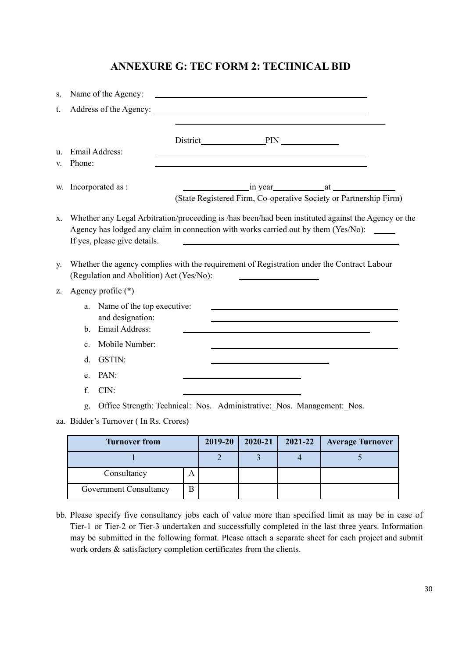### **ANNEXURE G: TEC FORM 2: TECHNICAL BID**

<span id="page-33-0"></span>

| $S_{-}$  | Name of the Agency:<br><u> 1989 - Johann Harry Harry Harry Harry Harry Harry Harry Harry Harry Harry Harry Harry Harry Harry Harry Harry</u>                                                                                                                                                                                                         |
|----------|------------------------------------------------------------------------------------------------------------------------------------------------------------------------------------------------------------------------------------------------------------------------------------------------------------------------------------------------------|
| t.       |                                                                                                                                                                                                                                                                                                                                                      |
| u.<br>V. | Email Address:<br>Phone:                                                                                                                                                                                                                                                                                                                             |
|          | w. Incorporated as :<br>(State Registered Firm, Co-operative Society or Partnership Firm)                                                                                                                                                                                                                                                            |
| $X_{-}$  | Whether any Legal Arbitration/proceeding is /has been/had been instituted against the Agency or the<br>Agency has lodged any claim in connection with works carried out by them (Yes/No): _____<br>If yes, please give details.                                                                                                                      |
| y.       | Whether the agency complies with the requirement of Registration under the Contract Labour<br>(Regulation and Abolition) Act (Yes/No):                                                                                                                                                                                                               |
| Z.       | Agency profile $(*)$                                                                                                                                                                                                                                                                                                                                 |
|          | Name of the top executive:<br>a.<br>and designation:<br>Email Address:<br>$\mathbf{h}$<br>the control of the control of the control of the control of the control of the control of the control of the control of the control of the control of the control of the control of the control of the control of the control<br>Mobile Number:<br>$C_{-}$ |
|          | GSTIN:<br><sub>d</sub>                                                                                                                                                                                                                                                                                                                               |
|          | PAN:<br>e.                                                                                                                                                                                                                                                                                                                                           |
|          | f.<br>CIN:                                                                                                                                                                                                                                                                                                                                           |
|          | Office Strength: Technical:_Nos. Administrative:_Nos. Management:_Nos.<br>g.                                                                                                                                                                                                                                                                         |
|          | aa. Bidder's Turnover (In Rs. Crores)                                                                                                                                                                                                                                                                                                                |
|          | 2010.20   2020.21  <br>$2021.22 \pm \text{Avow}$<br>Tunnovou from                                                                                                                                                                                                                                                                                    |

| <b>Turnover from</b>   |   | $2019 - 20$ | $2020 - 21$ | 2021-22 | <b>Average Turnover</b> |
|------------------------|---|-------------|-------------|---------|-------------------------|
|                        |   |             |             |         |                         |
| Consultancy            | Α |             |             |         |                         |
| Government Consultancy | Β |             |             |         |                         |

bb. Please specify five consultancy jobs each of value more than specified limit as may be in case of Tier-1 or Tier-2 or Tier-3 undertaken and successfully completed in the last three years. Information may be submitted in the following format. Please attach a separate sheet for each project and submit work orders & satisfactory completion certificates from the clients.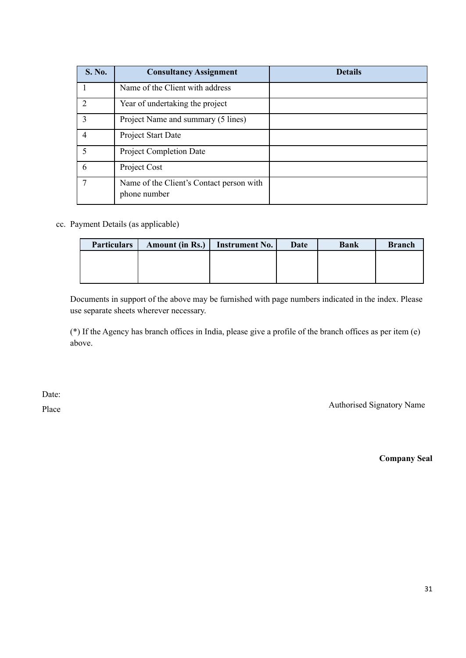| S. No.                      | <b>Consultancy Assignment</b>                            | <b>Details</b> |
|-----------------------------|----------------------------------------------------------|----------------|
|                             | Name of the Client with address                          |                |
| $\mathcal{D}_{\mathcal{L}}$ | Year of undertaking the project                          |                |
| 3                           | Project Name and summary (5 lines)                       |                |
| 4                           | Project Start Date                                       |                |
| $\varsigma$                 | <b>Project Completion Date</b>                           |                |
| 6                           | Project Cost                                             |                |
| 7                           | Name of the Client's Contact person with<br>phone number |                |

cc. Payment Details (as applicable)

| <b>Particulars</b> | Amount (in Rs.) | <b>Instrument No.</b> | Date | <b>Bank</b> | <b>Branch</b> |
|--------------------|-----------------|-----------------------|------|-------------|---------------|
|                    |                 |                       |      |             |               |
|                    |                 |                       |      |             |               |
|                    |                 |                       |      |             |               |

Documents in support of the above may be furnished with page numbers indicated in the index. Please use separate sheets wherever necessary.

(\*) If the Agency has branch offices in India, please give a profile of the branch offices as per item (e) above.

Date:

Place

Authorised Signatory Name

**Company Seal**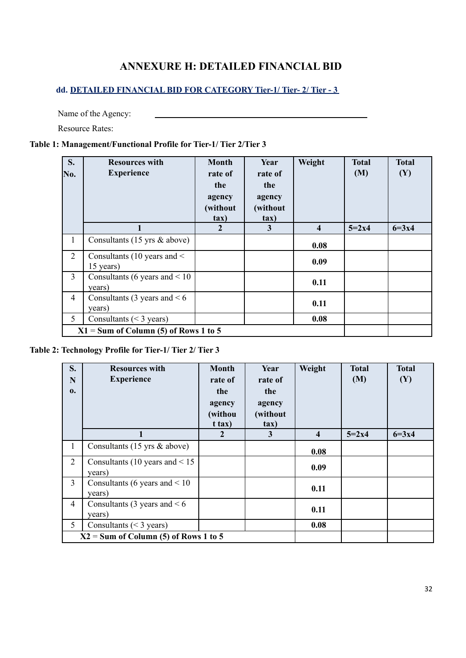# **ANNEXURE H: DETAILED FINANCIAL BID**

### <span id="page-35-0"></span>**dd. DETAILED FINANCIAL BID FOR CATEGORY Tier-1/ Tier- 2/ Tier - 3**

Name of the Agency:

Resource Rates:

# **Table 1: Management/Functional Profile for Tier-1/ Tier 2/Tier 3**

| S.<br>No.      | <b>Resources with</b><br><b>Experience</b>      | <b>Month</b><br>rate of<br>the<br>agency<br>(without<br>$\tan$ | Year<br>rate of<br>the<br>agency<br>(without<br>$\tan$ | Weight                  | <b>Total</b><br>(M) | <b>Total</b><br>(Y) |
|----------------|-------------------------------------------------|----------------------------------------------------------------|--------------------------------------------------------|-------------------------|---------------------|---------------------|
|                |                                                 | $\mathbf{2}$                                                   | 3                                                      | $\overline{\mathbf{4}}$ | $5 = 2x4$           | $6 = 3x4$           |
| 1              | Consultants $(15 \text{ yrs } \& \text{above})$ |                                                                |                                                        | 0.08                    |                     |                     |
| $\overline{2}$ | Consultants (10 years and $\leq$<br>15 years)   |                                                                |                                                        | 0.09                    |                     |                     |
| 3              | Consultants (6 years and $\leq 10$<br>years)    |                                                                |                                                        | 0.11                    |                     |                     |
| $\overline{4}$ | Consultants (3 years and $< 6$ )<br>years)      |                                                                |                                                        | 0.11                    |                     |                     |
| 5              | Consultants $(< 3 \text{ years})$               |                                                                |                                                        | 0.08                    |                     |                     |
|                | $X1 = Sum of Column (5) of Rows 1 to 5$         |                                                                |                                                        |                         |                     |                     |

### **Table 2: Technology Profile for Tier-1/ Tier 2/ Tier 3**

| S.<br>N<br>0.  | <b>Resources with</b><br><b>Experience</b>    | <b>Month</b><br>rate of<br>the<br>agency<br>(withou<br>t tax) | Year<br>rate of<br>the<br>agency<br>(without<br>tax) | Weight                  | <b>Total</b><br>(M) | <b>Total</b><br>(Y) |
|----------------|-----------------------------------------------|---------------------------------------------------------------|------------------------------------------------------|-------------------------|---------------------|---------------------|
|                |                                               | 2                                                             | 3                                                    | $\overline{\mathbf{4}}$ | $5 = 2x4$           | $6 = 3x4$           |
| 1              | Consultants (15 yrs $\&$ above)               |                                                               |                                                      | 0.08                    |                     |                     |
| $\overline{2}$ | Consultants (10 years and $\leq$ 15<br>years) |                                                               |                                                      | 0.09                    |                     |                     |
| $\overline{3}$ | Consultants (6 years and $\leq 10$<br>years)  |                                                               |                                                      | 0.11                    |                     |                     |
| $\overline{4}$ | Consultants (3 years and $< 6$ )<br>years)    |                                                               |                                                      | 0.11                    |                     |                     |
| 5              | Consultants $(< 3 \text{ years})$             |                                                               |                                                      | 0.08                    |                     |                     |
|                | $X2 = Sum of Column (5) of Rows 1 to 5$       |                                                               |                                                      |                         |                     |                     |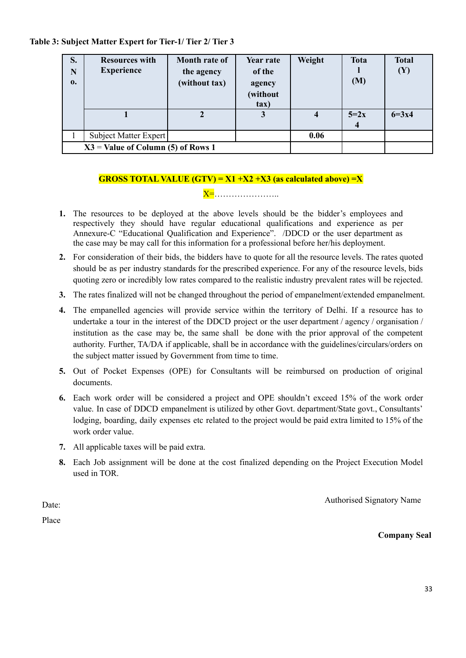| S.<br>N        | <b>Resources with</b><br><b>Experience</b> | Month rate of<br>the agency | Year rate<br>of the          | Weight | <b>Tota</b> | <b>Total</b><br>(Y) |
|----------------|--------------------------------------------|-----------------------------|------------------------------|--------|-------------|---------------------|
| $\mathbf{0}$ . |                                            | (without tax)               | agency<br>(without<br>$\tan$ |        | (M)         |                     |
|                |                                            |                             | 3                            |        | $5=2x$      | $6 = 3x4$           |
|                | Subject Matter Expert                      |                             |                              | 0.06   |             |                     |
|                | $X3 =$ Value of Column (5) of Rows 1       |                             |                              |        |             |                     |

### **Table 3: Subject Matter Expert for Tier-1/ Tier 2/ Tier 3**

### **GROSS TOTAL VALUE** (GTV) =  $X1 + X2 + X3$  (as calculated above) =  $X$

X=……………………

### **1.** The resources to be deployed at the above levels should be the bidder's employees and respectively they should have regular educational qualifications and experience as per Annexure-C "Educational Qualification and Experience". /DDCD or the user department as the case may be may call for this information for a professional before her/his deployment.

- **2.** For consideration of their bids, the bidders have to quote for all the resource levels. The rates quoted should be as per industry standards for the prescribed experience. For any of the resource levels, bids quoting zero or incredibly low rates compared to the realistic industry prevalent rates will be rejected.
- **3.** The rates finalized will not be changed throughout the period of empanelment/extended empanelment.
- **4.** The empanelled agencies will provide service within the territory of Delhi. If a resource has to undertake a tour in the interest of the DDCD project or the user department / agency / organisation / institution as the case may be, the same shall be done with the prior approval of the competent authority. Further, TA/DA if applicable, shall be in accordance with the guidelines/circulars/orders on the subject matter issued by Government from time to time.
- **5.** Out of Pocket Expenses (OPE) for Consultants will be reimbursed on production of original documents.
- **6.** Each work order will be considered a project and OPE shouldn't exceed 15% of the work order value. In case of DDCD empanelment is utilized by other Govt. department/State govt., Consultants' lodging, boarding, daily expenses etc related to the project would be paid extra limited to 15% of the work order value.
- **7.** All applicable taxes will be paid extra.
- **8.** Each Job assignment will be done at the cost finalized depending on the Project Execution Model used in TOR.

Authorised Signatory Name

Date: Place

**Company Seal**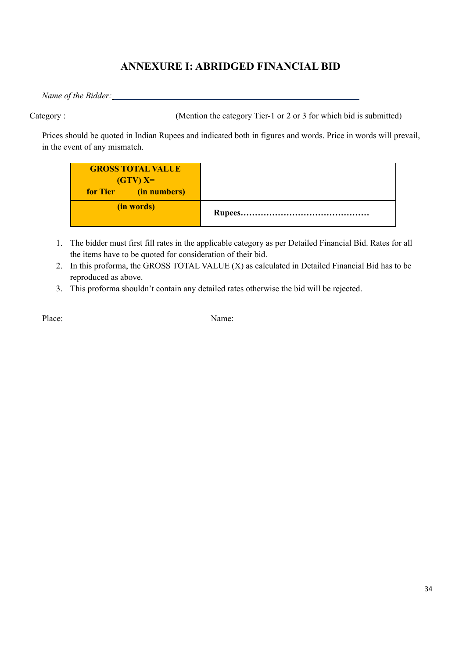# **ANNEXURE I: ABRIDGED FINANCIAL BID**

<span id="page-37-0"></span>*Name of the Bidder:*

Category : (Mention the category Tier-1 or 2 or 3 for which bid is submitted)

Prices should be quoted in Indian Rupees and indicated both in figures and words. Price in words will prevail, in the event of any mismatch.

| <b>GROSS TOTAL VALUE</b><br>$(GTV)X=$<br>for Tier (in numbers) |  |
|----------------------------------------------------------------|--|
| (in words)                                                     |  |

- 1. The bidder must first fill rates in the applicable category as per Detailed Financial Bid. Rates for all the items have to be quoted for consideration of their bid.
- 2. In this proforma, the GROSS TOTAL VALUE (X) as calculated in Detailed Financial Bid has to be reproduced as above.
- 3. This proforma shouldn't contain any detailed rates otherwise the bid will be rejected.

Place: Name: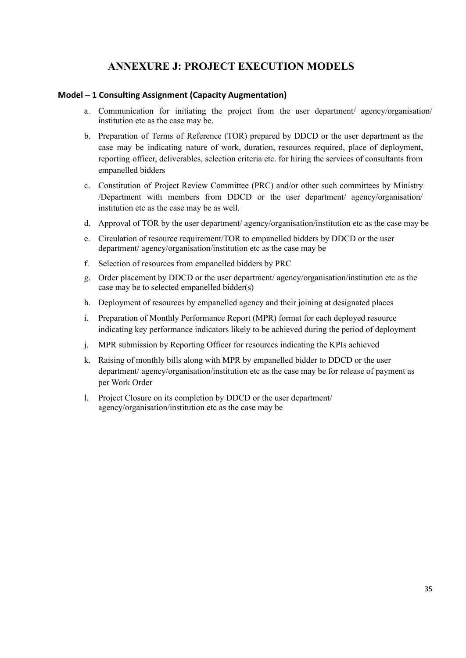# **ANNEXURE J: PROJECT EXECUTION MODELS**

### <span id="page-38-0"></span>**Model – 1 Consulting Assignment (Capacity Augmentation)**

- a. Communication for initiating the project from the user department/ agency/organisation/ institution etc as the case may be.
- b. Preparation of Terms of Reference (TOR) prepared by DDCD or the user department as the case may be indicating nature of work, duration, resources required, place of deployment, reporting officer, deliverables, selection criteria etc. for hiring the services of consultants from empanelled bidders
- c. Constitution of Project Review Committee (PRC) and/or other such committees by Ministry /Department with members from DDCD or the user department/ agency/organisation/ institution etc as the case may be as well.
- d. Approval of TOR by the user department/ agency/organisation/institution etc as the case may be
- e. Circulation of resource requirement/TOR to empanelled bidders by DDCD or the user department/ agency/organisation/institution etc as the case may be
- f. Selection of resources from empanelled bidders by PRC
- g. Order placement by DDCD or the user department/ agency/organisation/institution etc as the case may be to selected empanelled bidder(s)
- h. Deployment of resources by empanelled agency and their joining at designated places
- i. Preparation of Monthly Performance Report (MPR) format for each deployed resource indicating key performance indicators likely to be achieved during the period of deployment
- j. MPR submission by Reporting Officer for resources indicating the KPIs achieved
- k. Raising of monthly bills along with MPR by empanelled bidder to DDCD or the user department/ agency/organisation/institution etc as the case may be for release of payment as per Work Order
- l. Project Closure on its completion by DDCD or the user department/ agency/organisation/institution etc as the case may be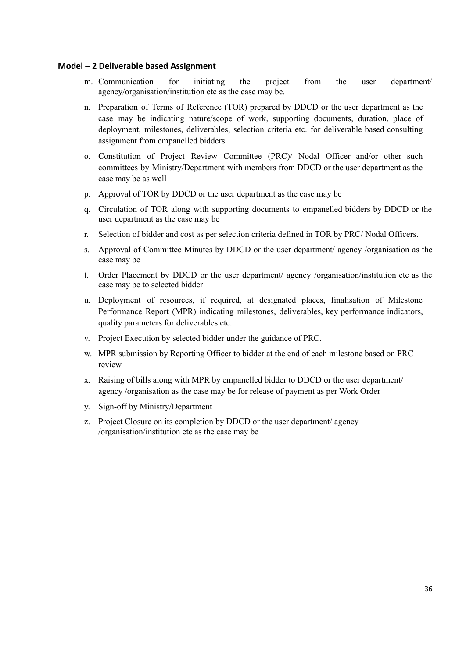#### **Model – 2 Deliverable based Assignment**

- m. Communication for initiating the project from the user department/ agency/organisation/institution etc as the case may be.
- n. Preparation of Terms of Reference (TOR) prepared by DDCD or the user department as the case may be indicating nature/scope of work, supporting documents, duration, place of deployment, milestones, deliverables, selection criteria etc. for deliverable based consulting assignment from empanelled bidders
- o. Constitution of Project Review Committee (PRC)/ Nodal Officer and/or other such committees by Ministry/Department with members from DDCD or the user department as the case may be as well
- p. Approval of TOR by DDCD or the user department as the case may be
- q. Circulation of TOR along with supporting documents to empanelled bidders by DDCD or the user department as the case may be
- r. Selection of bidder and cost as per selection criteria defined in TOR by PRC/ Nodal Officers.
- s. Approval of Committee Minutes by DDCD or the user department/ agency /organisation as the case may be
- t. Order Placement by DDCD or the user department/ agency /organisation/institution etc as the case may be to selected bidder
- u. Deployment of resources, if required, at designated places, finalisation of Milestone Performance Report (MPR) indicating milestones, deliverables, key performance indicators, quality parameters for deliverables etc.
- v. Project Execution by selected bidder under the guidance of PRC.
- w. MPR submission by Reporting Officer to bidder at the end of each milestone based on PRC review
- x. Raising of bills along with MPR by empanelled bidder to DDCD or the user department/ agency /organisation as the case may be for release of payment as per Work Order
- y. Sign-off by Ministry/Department
- z. Project Closure on its completion by DDCD or the user department/ agency /organisation/institution etc as the case may be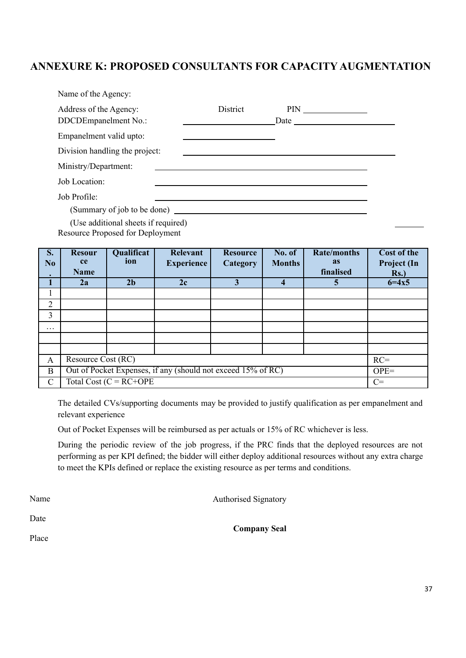# <span id="page-40-0"></span>**ANNEXURE K: PROPOSED CONSULTANTS FOR CAPACITY AUGMENTATION**

| Name of the Agency:                            |          |  |
|------------------------------------------------|----------|--|
| Address of the Agency:<br>DDCDEmpanelment No.: | District |  |
| Empanelment valid upto:                        |          |  |
| Division handling the project:                 |          |  |
| Ministry/Department:                           |          |  |
| Job Location:                                  |          |  |
| Job Profile:                                   |          |  |
|                                                |          |  |
| (Use additional sheets if required)            |          |  |

Resource Proposed for Deployment

| $\overline{\mathbf{S}}$ . | <b>Resour</b>                                                | Qualificat                  | Relevant          | <b>Resource</b> | No. of        | <b>Rate/months</b> | <b>Cost of the</b> |
|---------------------------|--------------------------------------------------------------|-----------------------------|-------------------|-----------------|---------------|--------------------|--------------------|
| N <sub>0</sub>            | <b>ce</b>                                                    | ion                         | <b>Experience</b> | <b>Category</b> | <b>Months</b> | <b>as</b>          | Project (In        |
| $\bullet$                 | <b>Name</b>                                                  |                             |                   |                 |               | finalised          | $Rs.$ )            |
|                           | 2a                                                           | 2 <sub>b</sub>              | 2c                | 3               | 4             | 5                  | $6 = 4x5$          |
|                           |                                                              |                             |                   |                 |               |                    |                    |
| $\overline{2}$            |                                                              |                             |                   |                 |               |                    |                    |
| 3                         |                                                              |                             |                   |                 |               |                    |                    |
| .                         |                                                              |                             |                   |                 |               |                    |                    |
|                           |                                                              |                             |                   |                 |               |                    |                    |
|                           |                                                              |                             |                   |                 |               |                    |                    |
| $\mathbf{A}$              | Resource Cost (RC)                                           |                             |                   |                 |               | $RC =$             |                    |
| B                         | Out of Pocket Expenses, if any (should not exceed 15% of RC) |                             |                   |                 |               | $OPE=$             |                    |
| $\mathcal{C}$             |                                                              | Total Cost $(C = RC + OPE)$ |                   |                 |               |                    | $C =$              |

The detailed CVs/supporting documents may be provided to justify qualification as per empanelment and relevant experience

Out of Pocket Expenses will be reimbursed as per actuals or 15% of RC whichever is less.

During the periodic review of the job progress, if the PRC finds that the deployed resources are not performing as per KPI defined; the bidder will either deploy additional resources without any extra charge to meet the KPIs defined or replace the existing resource as per terms and conditions.

Name

Authorised Signatory

Place

Date

**Company Seal**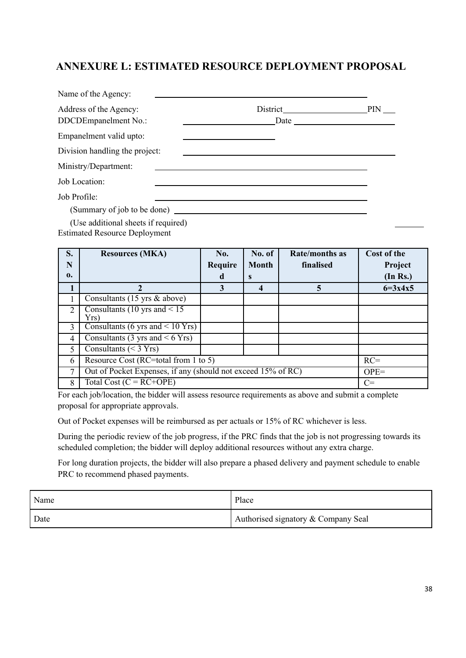# <span id="page-41-0"></span>**ANNEXURE L: ESTIMATED RESOURCE DEPLOYMENT PROPOSAL**

| Name of the Agency:                            |                                                                                                                                                                                                                                                                                                                                                                                                                      |
|------------------------------------------------|----------------------------------------------------------------------------------------------------------------------------------------------------------------------------------------------------------------------------------------------------------------------------------------------------------------------------------------------------------------------------------------------------------------------|
| Address of the Agency:<br>DDCDEmpanelment No.: | PIN<br>Date $\frac{1}{\sqrt{1-\frac{1}{2}}\sqrt{1-\frac{1}{2}}\sqrt{1-\frac{1}{2}}\sqrt{1-\frac{1}{2}}\sqrt{1-\frac{1}{2}}\sqrt{1-\frac{1}{2}}\sqrt{1-\frac{1}{2}}\sqrt{1-\frac{1}{2}}\sqrt{1-\frac{1}{2}}\sqrt{1-\frac{1}{2}}\sqrt{1-\frac{1}{2}}\sqrt{1-\frac{1}{2}}\sqrt{1-\frac{1}{2}}\sqrt{1-\frac{1}{2}}\sqrt{1-\frac{1}{2}}\sqrt{1-\frac{1}{2}}\sqrt{1-\frac{1}{2}}\sqrt{1-\frac{1}{2}}\sqrt{1-\frac{1}{2}}\$ |
| Empanelment valid upto:                        |                                                                                                                                                                                                                                                                                                                                                                                                                      |
| Division handling the project:                 |                                                                                                                                                                                                                                                                                                                                                                                                                      |
| Ministry/Department:                           |                                                                                                                                                                                                                                                                                                                                                                                                                      |
| Job Location:                                  |                                                                                                                                                                                                                                                                                                                                                                                                                      |
| Job Profile:                                   |                                                                                                                                                                                                                                                                                                                                                                                                                      |
| (Summary of job to be done)                    |                                                                                                                                                                                                                                                                                                                                                                                                                      |
| (I <sub>0</sub> , old <sub>ij</sub> )          |                                                                                                                                                                                                                                                                                                                                                                                                                      |

(Use additional sheets if required) Estimated Resource Deployment

| S. | <b>Resources (MKA)</b>                                       | No.     | No. of         | Rate/months as | Cost of the |
|----|--------------------------------------------------------------|---------|----------------|----------------|-------------|
| N  |                                                              | Require | <b>Month</b>   | finalised      | Project     |
| 0. |                                                              | d       | S              |                | (In Rs.)    |
|    |                                                              | 3       | $\overline{4}$ | 5              | $6=3x4x5$   |
|    | Consultants (15 yrs $\&$ above)                              |         |                |                |             |
| 2  | Consultants (10 yrs and $\leq 15$ )<br>Yrs)                  |         |                |                |             |
| 3  | Consultants (6 yrs and $\leq$ 10 Yrs)                        |         |                |                |             |
| 4  | Consultants (3 yrs and $\leq 6$ Yrs)                         |         |                |                |             |
| 5  | Consultants $(< 3 Yrs)$                                      |         |                |                |             |
| 6  | Resource Cost (RC=total from 1 to 5)                         |         |                |                | $RC =$      |
|    | Out of Pocket Expenses, if any (should not exceed 15% of RC) | $OPE=$  |                |                |             |
| 8  | Total Cost $(C = RC+OPE)$                                    |         |                |                | $C =$       |

For each job/location, the bidder will assess resource requirements as above and submit a complete proposal for appropriate approvals.

Out of Pocket expenses will be reimbursed as per actuals or 15% of RC whichever is less.

During the periodic review of the job progress, if the PRC finds that the job is not progressing towards its scheduled completion; the bidder will deploy additional resources without any extra charge.

For long duration projects, the bidder will also prepare a phased delivery and payment schedule to enable PRC to recommend phased payments.

| Name | Place                               |
|------|-------------------------------------|
| Date | Authorised signatory & Company Seal |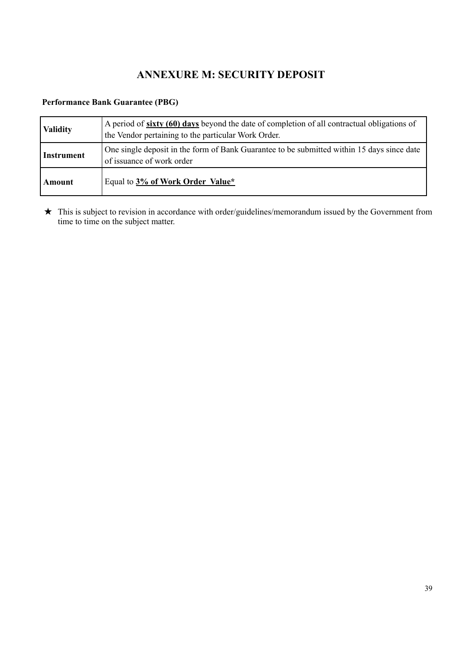# **ANNEXURE M: SECURITY DEPOSIT**

### <span id="page-42-0"></span>**Performance Bank Guarantee (PBG)**

| <b>Validity</b> | A period of sixty (60) days beyond the date of completion of all contractual obligations of<br>the Vendor pertaining to the particular Work Order. |  |  |  |
|-----------------|----------------------------------------------------------------------------------------------------------------------------------------------------|--|--|--|
| Instrument      | One single deposit in the form of Bank Guarantee to be submitted within 15 days since date<br>of issuance of work order                            |  |  |  |
| Amount          | Equal to 3% of Work Order Value*                                                                                                                   |  |  |  |

★ This is subject to revision in accordance with order/guidelines/memorandum issued by the Government from time to time on the subject matter.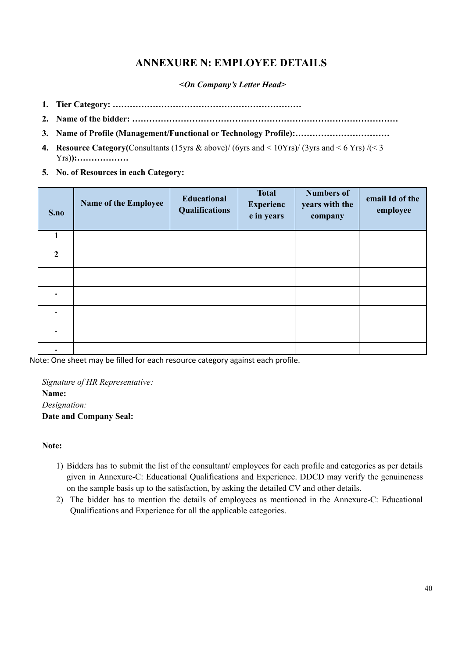## **ANNEXURE N: EMPLOYEE DETAILS**

*<On Company's Letter Head>*

- <span id="page-43-0"></span>**1. Tier Category: …………………………………………………………**
- **2. Name of the bidder: …………………………………………………………………………………**
- **3. Name of Profile (Management/Functional or Technology Profile):……………………………**
- **4. Resource Category(**Consultants (15yrs & above)/ (6yrs and < 10Yrs)/ (3yrs and < 6 Yrs) /(< 3 Yrs)**):………………**
- **5. No. of Resources in each Category:**

| S.no           | <b>Name of the Employee</b> | Educational<br>Qualifications | <b>Total</b><br><b>Experienc</b><br>e in years | <b>Numbers of</b><br>years with the<br>company | email Id of the<br>employee |
|----------------|-----------------------------|-------------------------------|------------------------------------------------|------------------------------------------------|-----------------------------|
| 1              |                             |                               |                                                |                                                |                             |
| $\mathbf{2}$   |                             |                               |                                                |                                                |                             |
|                |                             |                               |                                                |                                                |                             |
|                |                             |                               |                                                |                                                |                             |
| $\blacksquare$ |                             |                               |                                                |                                                |                             |
|                |                             |                               |                                                |                                                |                             |
| ٠              |                             |                               |                                                |                                                |                             |

Note: One sheet may be filled for each resource category against each profile.

*Signature of HR Representative:* **Name:** *Designation:* **Date and Company Seal:**

#### **Note:**

- 1) Bidders has to submit the list of the consultant/ employees for each profile and categories as per details given in Annexure-C: Educational Qualifications and Experience. DDCD may verify the genuineness on the sample basis up to the satisfaction, by asking the detailed CV and other details.
- 2) The bidder has to mention the details of employees as mentioned in the Annexure-C: Educational Qualifications and Experience for all the applicable categories.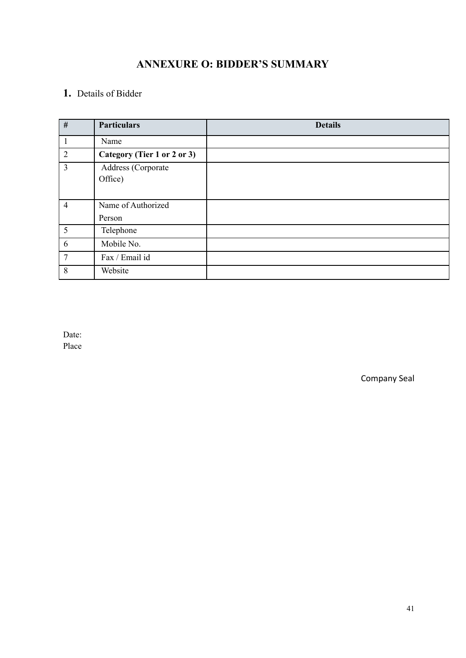# **ANNEXURE O: BIDDER'S SUMMARY**

## <span id="page-44-0"></span>**1.** Details of Bidder

| #              | <b>Particulars</b>          | <b>Details</b> |
|----------------|-----------------------------|----------------|
|                | Name                        |                |
| $\overline{2}$ | Category (Tier 1 or 2 or 3) |                |
| $\overline{3}$ | Address (Corporate          |                |
|                | Office)                     |                |
|                |                             |                |
| $\overline{4}$ | Name of Authorized          |                |
|                | Person                      |                |
| 5              | Telephone                   |                |
| 6              | Mobile No.                  |                |
| $\overline{7}$ | Fax / Email id              |                |
| $\,8\,$        | Website                     |                |

Date: Place

Company Seal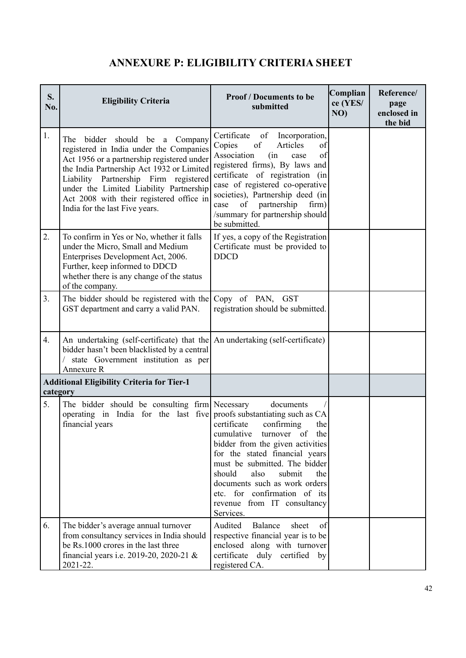# **ANNEXURE P: ELIGIBILITY CRITERIA SHEET**

<span id="page-45-0"></span>

| S.<br>No.      | <b>Eligibility Criteria</b>                                                                                                                                                                                                                                                                                                                  | <b>Proof / Documents to be</b><br>submitted                                                                                                                                                                                                                                                                                                  | Complian<br>ce (YES/<br>NO) | Reference/<br>page<br>enclosed in<br>the bid |
|----------------|----------------------------------------------------------------------------------------------------------------------------------------------------------------------------------------------------------------------------------------------------------------------------------------------------------------------------------------------|----------------------------------------------------------------------------------------------------------------------------------------------------------------------------------------------------------------------------------------------------------------------------------------------------------------------------------------------|-----------------------------|----------------------------------------------|
| 1.             | should be a Company<br>The<br>bidder<br>registered in India under the Companies<br>Act 1956 or a partnership registered under<br>the India Partnership Act 1932 or Limited<br>Liability Partnership Firm registered<br>under the Limited Liability Partnership<br>Act 2008 with their registered office in<br>India for the last Five years. | Certificate<br>of<br>Incorporation,<br>Articles<br>Copies<br>of<br>of<br>Association<br>(in<br>of<br>case<br>registered firms), By laws and<br>certificate of registration (in<br>case of registered co-operative<br>societies), Partnership deed (in<br>of partnership<br>firm)<br>case<br>/summary for partnership should<br>be submitted. |                             |                                              |
| 2.             | To confirm in Yes or No, whether it falls<br>under the Micro, Small and Medium<br>Enterprises Development Act, 2006.<br>Further, keep informed to DDCD<br>whether there is any change of the status<br>of the company.                                                                                                                       | If yes, a copy of the Registration<br>Certificate must be provided to<br><b>DDCD</b>                                                                                                                                                                                                                                                         |                             |                                              |
| 3 <sub>1</sub> | The bidder should be registered with the<br>GST department and carry a valid PAN.                                                                                                                                                                                                                                                            | Copy of PAN, GST<br>registration should be submitted.                                                                                                                                                                                                                                                                                        |                             |                                              |
| 4.             | An undertaking (self-certificate) that the An undertaking (self-certificate)<br>bidder hasn't been blacklisted by a central<br>state Government institution as per<br>Annexure R                                                                                                                                                             |                                                                                                                                                                                                                                                                                                                                              |                             |                                              |
| category       | <b>Additional Eligibility Criteria for Tier-1</b>                                                                                                                                                                                                                                                                                            |                                                                                                                                                                                                                                                                                                                                              |                             |                                              |
| 5.             | The bidder should be consulting firm Necessary<br>operating in India for the last five proofs substantiating such as CA<br>financial years                                                                                                                                                                                                   | documents<br>certificate<br>confirming<br>the<br>cumulative turnover of the<br>bidder from the given activities<br>for the stated financial years<br>must be submitted. The bidder<br>should<br>submit<br>also<br>the<br>documents such as work orders<br>etc. for confirmation of its<br>revenue from IT consultancy<br>Services.           |                             |                                              |
| 6.             | The bidder's average annual turnover<br>from consultancy services in India should<br>be Rs.1000 crores in the last three<br>financial years i.e. 2019-20, 2020-21 &<br>2021-22.                                                                                                                                                              | Audited<br><b>Balance</b><br>sheet<br>of<br>respective financial year is to be<br>enclosed along with turnover<br>certificate duly certified by<br>registered CA.                                                                                                                                                                            |                             |                                              |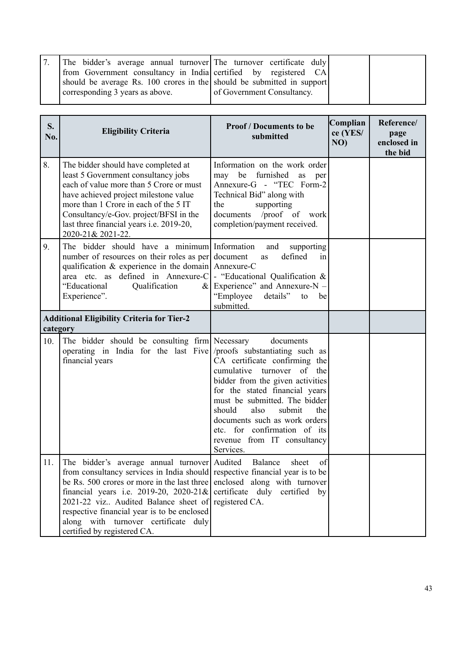|  | 7. The bidder's average annual turnover The turnover certificate duly<br>from Government consultancy in India certified by registered CA |                            |
|--|------------------------------------------------------------------------------------------------------------------------------------------|----------------------------|
|  | should be average Rs. 100 crores in the should be submitted in support                                                                   |                            |
|  | corresponding 3 years as above.                                                                                                          | of Government Consultancy. |

| S.<br>No. | <b>Eligibility Criteria</b>                                                                                                                                                                                                                                                                                                                                                                                                                                   | <b>Proof / Documents to be</b><br>submitted                                                                                                                                                                                                                                                                                     | Complian<br>ce (YES/<br>NO) | Reference/<br>page<br>enclosed in<br>the bid |
|-----------|---------------------------------------------------------------------------------------------------------------------------------------------------------------------------------------------------------------------------------------------------------------------------------------------------------------------------------------------------------------------------------------------------------------------------------------------------------------|---------------------------------------------------------------------------------------------------------------------------------------------------------------------------------------------------------------------------------------------------------------------------------------------------------------------------------|-----------------------------|----------------------------------------------|
| 8.        | The bidder should have completed at<br>least 5 Government consultancy jobs<br>each of value more than 5 Crore or must<br>have achieved project milestone value<br>more than 1 Crore in each of the 5 IT<br>Consultancy/e-Gov. project/BFSI in the<br>last three financial years <i>i.e.</i> 2019-20,<br>2020-21& 2021-22.                                                                                                                                     | Information on the work order<br>may be furnished<br>as<br>per<br>Annexure-G - "TEC Form-2<br>Technical Bid" along with<br>the<br>supporting<br>documents /proof of work<br>completion/payment received.                                                                                                                        |                             |                                              |
| 9.        | The bidder should have a minimum<br>number of resources on their roles as per<br>qualification $\&$ experience in the domain Annexure-C<br>area etc. as defined in Annexure-C  - "Educational Qualification &<br>"Educational<br>Qualification<br>Experience".                                                                                                                                                                                                | Information<br>and<br>supporting<br>document<br>defined<br>in<br>as<br>$\&$ Experience" and Annexure-N –<br>"Employee<br>details"<br>to<br>be<br>submitted.                                                                                                                                                                     |                             |                                              |
| category  | <b>Additional Eligibility Criteria for Tier-2</b>                                                                                                                                                                                                                                                                                                                                                                                                             |                                                                                                                                                                                                                                                                                                                                 |                             |                                              |
| 10.       | The bidder should be consulting firm Necessary<br>operating in India for the last Five / proofs substantiating such as<br>financial years                                                                                                                                                                                                                                                                                                                     | documents<br>CA certificate confirming the<br>cumulative turnover of the<br>bidder from the given activities<br>for the stated financial years<br>must be submitted. The bidder<br>should<br>the<br>also<br>submit<br>documents such as work orders<br>etc. for confirmation of its<br>revenue from IT consultancy<br>Services. |                             |                                              |
| 11.       | The bidder's average annual turnover Audited<br>from consultancy services in India should respective financial year is to be<br>be Rs. 500 crores or more in the last three enclosed along with turnover<br>financial years i.e. 2019-20, 2020-21& certificate duly certified by<br>2021-22 viz Audited Balance sheet of registered CA.<br>respective financial year is to be enclosed<br>along with turnover certificate duly<br>certified by registered CA. | of<br><b>Balance</b><br>sheet                                                                                                                                                                                                                                                                                                   |                             |                                              |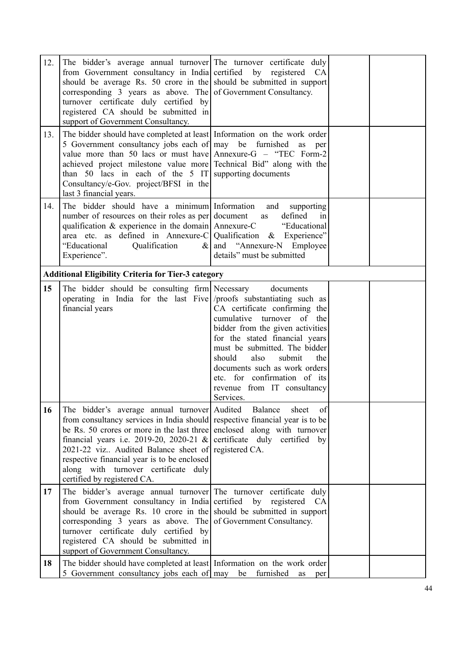| 12. | The bidder's average annual turnover The turnover certificate duly<br>from Government consultancy in India certified<br>should be average Rs. 50 crore in the should be submitted in support<br>corresponding 3 years as above. The of Government Consultancy.<br>turnover certificate duly certified by<br>registered CA should be submitted in<br>support of Government Consultancy.                                                                                   | by registered CA                                                                                                                                                                                                                                                                                                                |  |
|-----|--------------------------------------------------------------------------------------------------------------------------------------------------------------------------------------------------------------------------------------------------------------------------------------------------------------------------------------------------------------------------------------------------------------------------------------------------------------------------|---------------------------------------------------------------------------------------------------------------------------------------------------------------------------------------------------------------------------------------------------------------------------------------------------------------------------------|--|
| 13. | The bidder should have completed at least Information on the work order<br>5 Government consultancy jobs each of may be furnished<br>value more than 50 lacs or must have Annexure-G $-$ "TEC Form-2<br>achieved project milestone value more Technical Bid" along with the<br>than $50$ lacs in each of the $5$ IT supporting documents<br>Consultancy/e-Gov. project/BFSI in the<br>last 3 financial years.                                                            | as<br>per                                                                                                                                                                                                                                                                                                                       |  |
| 14. | The bidder should have a minimum Information<br>number of resources on their roles as per document<br>qualification $\&$ experience in the domain Annexure-C<br>area etc. as defined in Annexure-C Qualification & Experience"<br>"Educational<br>Qualification<br>Experience".                                                                                                                                                                                          | and<br>supporting<br>defined<br>in<br>as<br>"Educational<br>$\&$ and "Annexure-N Employee"<br>details" must be submitted                                                                                                                                                                                                        |  |
|     | <b>Additional Eligibility Criteria for Tier-3 category</b>                                                                                                                                                                                                                                                                                                                                                                                                               |                                                                                                                                                                                                                                                                                                                                 |  |
| 15  | The bidder should be consulting firm Necessary<br>operating in India for the last Five / proofs substantiating such as<br>financial years                                                                                                                                                                                                                                                                                                                                | documents<br>CA certificate confirming the<br>cumulative turnover of the<br>bidder from the given activities<br>for the stated financial years<br>must be submitted. The bidder<br>should<br>also<br>submit<br>the<br>documents such as work orders<br>etc. for confirmation of its<br>revenue from IT consultancy<br>Services. |  |
| 16  | The bidder's average annual turnover Audited Balance<br>from consultancy services in India should respective financial year is to be<br>be Rs. 50 crores or more in the last three enclosed along with turnover<br>financial years i.e. 2019-20, 2020-21 $\&$ certificate duly certified by<br>2021-22 viz Audited Balance sheet of registered CA.<br>respective financial year is to be enclosed<br>along with turnover certificate duly<br>certified by registered CA. | of<br>sheet                                                                                                                                                                                                                                                                                                                     |  |
| 17  | The bidder's average annual turnover The turnover certificate duly<br>from Government consultancy in India certified by registered CA<br>should be average Rs. 10 crore in the should be submitted in support<br>corresponding 3 years as above. The of Government Consultancy.<br>turnover certificate duly certified by<br>registered CA should be submitted in<br>support of Government Consultancy.                                                                  |                                                                                                                                                                                                                                                                                                                                 |  |
| 18  | The bidder should have completed at least Information on the work order<br>5 Government consultancy jobs each of may                                                                                                                                                                                                                                                                                                                                                     | furnished<br>be<br>as<br>per                                                                                                                                                                                                                                                                                                    |  |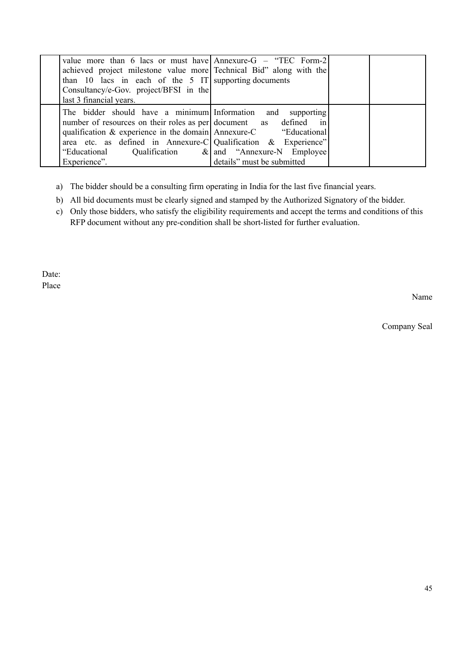| value more than 6 lacs or must have Annexure-G $-$ "TEC Form-2<br>achieved project milestone value more Technical Bid" along with the<br>than 10 lacs in each of the 5 IT supporting documents<br>Consultancy/e-Gov. project/BFSI in the<br>last 3 financial years.                                     |                                                                        |  |
|---------------------------------------------------------------------------------------------------------------------------------------------------------------------------------------------------------------------------------------------------------------------------------------------------------|------------------------------------------------------------------------|--|
| The bidder should have a minimum Information and supporting<br>number of resources on their roles as per document as defined in<br>qualification & experience in the domain Annexure-C "Educational<br>area etc. as defined in Annexure-C   Qualification & Experience"<br>"Educational<br>Experience". | Qualification & and "Annexure-N Employee<br>details" must be submitted |  |

- a) The bidder should be a consulting firm operating in India for the last five financial years.
- b) All bid documents must be clearly signed and stamped by the Authorized Signatory of the bidder.
- c) Only those bidders, who satisfy the eligibility requirements and accept the terms and conditions of this RFP document without any pre-condition shall be short-listed for further evaluation.

Date: Place

Name

Company Seal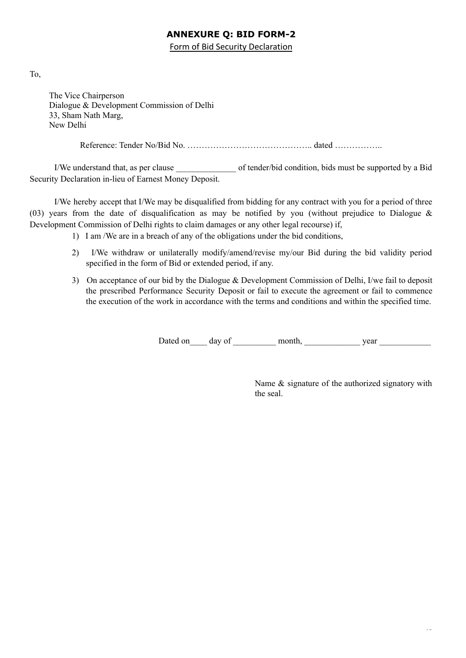### **ANNEXURE Q: BID FORM-2**

Form of Bid Security Declaration

<span id="page-49-0"></span>To,

The Vice Chairperson Dialogue & Development Commission of Delhi 33, Sham Nath Marg, New Delhi

Reference: Tender No/Bid No. …………………………………….. dated ……………..

I/We understand that, as per clause of tender/bid condition, bids must be supported by a Bid Security Declaration in-lieu of Earnest Money Deposit.

I/We hereby accept that I/We may be disqualified from bidding for any contract with you for a period of three (03) years from the date of disqualification as may be notified by you (without prejudice to Dialogue & Development Commission of Delhi rights to claim damages or any other legal recourse) if,

- 1) I am /We are in a breach of any of the obligations under the bid conditions,
- 2) I/We withdraw or unilaterally modify/amend/revise my/our Bid during the bid validity period specified in the form of Bid or extended period, if any.
- 3) On acceptance of our bid by the Dialogue & Development Commission of Delhi, I/we fail to deposit the prescribed Performance Security Deposit or fail to execute the agreement or fail to commence the execution of the work in accordance with the terms and conditions and within the specified time.

Dated on day of month, wear year

Name & signature of the authorized signatory with the seal.